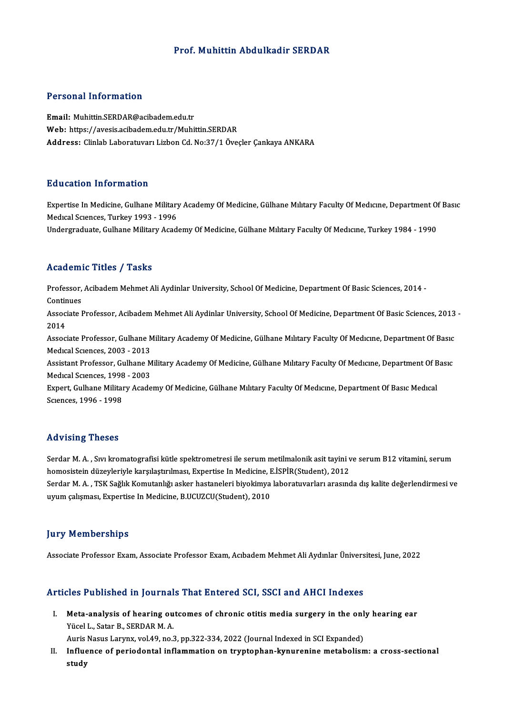### Prof.Muhittin Abdulkadir SERDAR

### Personal Information

Email: Muhittin.SERDAR@acibadem.edu.tr Web: https://avesis.acibadem.edu.tr/Muhittin.SERDAR Address: Clinlab Laboratuvarı Lizbon Cd. No:37/1 Öveçler Çankaya ANKARA

### Education Information

Education Information<br>Expertise In Medicine, Gulhane Military Academy Of Medicine, Gülhane Mılıtary Faculty Of Medıcıne, Department Of Basıc<br>Medisel Saences: Turkey 1993 - 1996 Medical Sciences, Turkey<br>Expertise In Medicine, Gulhane Military<br>Medical Sciences, Turkey 1993 - 1996<br>Undergraduate Gulhane Military Acad Expertise In Medicine, Gulhane Military Academy Of Medicine, Gülhane Mılıtary Faculty Of Medıcıne, Department O<br>Medıcal Scıences, Turkey 1993 - 1996<br>Undergraduate, Gulhane Military Academy Of Medicine, Gülhane Mılıtary Fac

Undergraduate, Gulhane Military Academy Of Medicine, Gülhane Military Faculty Of Medicine, Turkey 1984 - 1990<br>Academic Titles / Tasks

A**cademic Titles / Tasks**<br>Professor, Acibadem Mehmet Ali Aydinlar University, School Of Medicine, Department Of Basic Sciences, 2014 -<br>Centinues Professor,<br>Continues<br>Associate I

Professor, Acibadem Mehmet Ali Aydinlar University, School Of Medicine, Department Of Basic Sciences, 2014 -<br>Continues<br>Associate Professor, Acibadem Mehmet Ali Aydinlar University, School Of Medicine, Department Of Basic S Contir<br>Assoc:<br>2014 Associate Professor, Acibadem Mehmet Ali Aydinlar University, School Of Medicine, Department Of Basic Sciences, 2013<br>2014<br>Associate Professor, Gulhane Military Academy Of Medicine, Gülhane Mılıtary Faculty Of Medıcıne, Dep

2014<br>Associate Professor, Gulhane Military Academy Of Medicine, Gülhane Mılıtary Faculty Of Medicine, Department Of Basic<br>Medical Sciences, 2003 - 2013 Associate Professor, Gulhane Military Academy Of Medicine, Gülhane Mılıtary Faculty Of Medıcıne, Department Of Basıc<br>Medıcal Sciences, 2003 - 2013<br>Assistant Professor, Gulhane Military Academy Of Medicine, Gülhane Military

Medical Sciences, 2003 - 2013<br>Assistant Professor, Gulhane M<br>Medical Sciences, 1998 - 2003<br>Evnert, Gulhane Military Acade Assistant Professor, Gulhane Military Academy Of Medicine, Gülhane Mılıtary Faculty Of Medıcıne, Department Of B<br>Medıcal Sciences, 1998 - 2003<br>Expert, Gulhane Military Academy Of Medicine, Gülhane Military Faculty Of Medic

Medical Sciences, 1998 - 2003<br>Expert, Gulhane Military Academy Of Medicine, Gülhane Military Faculty Of Medicine, Department Of Basic Medical<br>Sciences, 1996 - 1998

### Advising Theses

Advising Theses<br>Serdar M. A. , Sıvı kromatografisi kütle spektrometresi ile serum metilmalonik asit tayini ve serum B12 vitamini, serum<br>hamasistein düzeyleriyle karallastırılması. Eynertise In Medicine, E İSPİP(Student), 2 homosistein düzeyleriyle karşılaştırılması, Expertise ile serum metilmalonik asit tayini v<br>homosistein düzeyleriyle karşılaştırılması, Expertise In Medicine, E.İSPİR(Student), 2012<br>Serdar M. A., TSK Seğlik Kemutarlığı aske Serdar M. A. , Sıvı kromatografisi kütle spektrometresi ile serum metilmalonik asit tayini ve serum B12 vitamini, serum<br>homosistein düzeyleriyle karşılaştırılması, Expertise In Medicine, E.İSPİR(Student), 2012<br>Serdar M. A.

homosistein düzeyleriyle karşılaştırılması, Expertise In Medicine, E.İSPİR(Student), 2012<br>Serdar M. A. , TSK Sağlık Komutanlığı asker hastaneleri biyokimya laboratuvarları arasında dış kalite değerlendirmesi ve<br>uyum çalışm

### **Jury Memberships**

Associate Professor Exam, Associate Professor Exam, Acıbadem Mehmet Ali Aydınlar Üniversitesi, June, 2022

### Articles Published in Journals That Entered SCI, SSCI and AHCI Indexes

rticles Published in Journals That Entered SCI, SSCI and AHCI Indexes<br>I. Meta-analysis of hearing outcomes of chronic otitis media surgery in the only hearing ear<br>Wisel J. Star B. SERDAR M.A. Meta-analysis of hearing ou<br>Meta-analysis of hearing ou<br>Yücel L., Satar B., SERDAR M. A. Meta-analysis of hearing outcomes of chronic otitis media surgery in the onl<br>Yücel L., Satar B., SERDAR M. A.<br>Auris Nasus Larynx, vol.49, no.3, pp.322-334, 2022 (Journal Indexed in SCI Expanded)<br>Influence of norjodontal in

Auris Nasus Larynx, vol.49, no.3, pp.322-334, 2022 (Journal Indexed in SCI Expanded)

Yücel L., Satar B., SERDAR M. A.<br>Auris Nasus Larynx, vol.49, no.3, pp.322-334, 2022 (Journal Indexed in SCI Expanded)<br>II. Influence of periodontal inflammation on tryptophan-kynurenine metabolism: a cross-sectional<br>study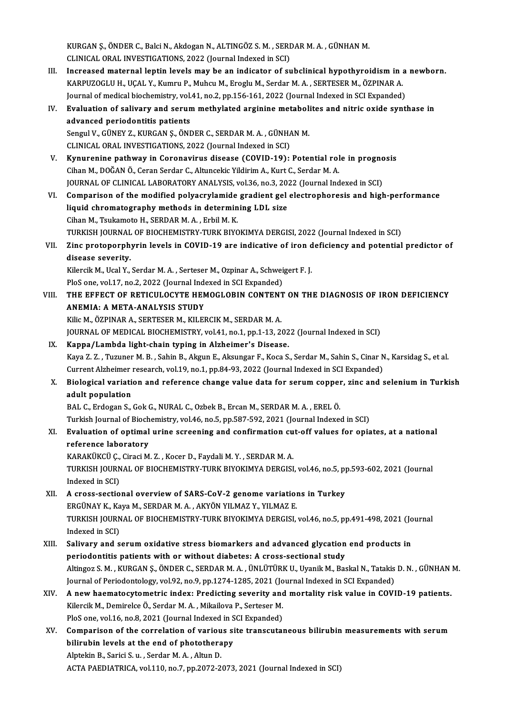KURGAN Ş., ÖNDER C., Balci N., Akdogan N., ALTINGÖZ S. M. , SERDAR M. A. , GÜNHAN M.<br>CLINICAL ORAL INVESTICATIONS, 2022 (Journal Indoved in SCI) KURGAN Ş., ÖNDER C., Balci N., Akdogan N., ALTINGÖZ S. M. , SERI<br>CLINICAL ORAL INVESTIGATIONS, 2022 (Journal Indexed in SCI)<br>Insressed maternal lentin levels may be en indisater of su KURGAN Ş., ÖNDER C., Balci N., Akdogan N., ALTINGÖZ S. M. , SERDAR M. A. , GÜNHAN M.<br>CLINICAL ORAL INVESTIGATIONS, 2022 (Journal Indexed in SCI)<br>III. Increased maternal leptin levels may be an indicator of subclinical hypo

- CLINICAL ORAL INVESTIGATIONS, 2022 (Journal Indexed in SCI)<br>Increased maternal leptin levels may be an indicator of subclinical hypothyroidism in :<br>KARPUZOGLU H., UÇAL Y., Kumru P., Muhcu M., Eroglu M., Serdar M. A. , SERT Increased maternal leptin levels may be an indicator of subclinical hypothyroidism in a<br>KARPUZOGLU H., UÇAL Y., Kumru P., Muhcu M., Eroglu M., Serdar M. A. , SERTESER M., ÖZPINAR A.<br>Journal of medical biochemistry, vol.41, KARPUZOGLU H., UÇAL Y., Kumru P., Muhcu M., Eroglu M., Serdar M. A. , SERTESER M., ÖZPINAR A.<br>Journal of medical biochemistry, vol.41, no.2, pp.156-161, 2022 (Journal Indexed in SCI Expanded)<br>IV. Evaluation of salivary and
- Journal of medical biochemistry, vol.41, no.2, pp.156-161, 2022 (Journal Indexed in SCI Expanded)<br>Evaluation of salivary and serum methylated arginine metabolites and nitric oxide synt<br>advanced periodontitis patients<br>Sengu Evaluation of salivary and serum methylated arginine metaboli<br>advanced periodontitis patients<br>Sengul V., GÜNEY Z., KURGAN Ş., ÖNDER C., SERDAR M. A. , GÜNHAN M.<br>CLINICAL OPAL INVESTICATIONS 2022 (Journal Indoved in SCD

CLINICAL ORAL INVESTIGATIONS, 2022 (Journal Indexed in SCI)

- Sengul V., GÜNEY Z., KURGAN Ş., ÖNDER C., SERDAR M. A., GÜNHAN M.<br>CLINICAL ORAL INVESTIGATIONS, 2022 (Journal Indexed in SCI)<br>V. Kynurenine pathway in Coronavirus disease (COVID-19): Potential role in prognosis<br>Ciban M. DO CLINICAL ORAL INVESTIGATIONS, 2022 (Journal Indexed in SCI)<br>Kynurenine pathway in Coronavirus disease (COVID-19): Potential rol<br>Cihan M., DOĞAN Ö., Ceran Serdar C., Altuncekic Yildirim A., Kurt C., Serdar M. A.<br>JOUPMAL OF Kynurenine pathway in Coronavirus disease (COVID-19): Potential role in progno<br>Cihan M., DOĞAN Ö., Ceran Serdar C., Altuncekic Yildirim A., Kurt C., Serdar M. A.<br>JOURNAL OF CLINICAL LABORATORY ANALYSIS, vol.36, no.3, 2022 Cihan M., DOĞAN Ö., Ceran Serdar C., Altuncekic Yildirim A., Kurt C., Serdar M. A.<br>JOURNAL OF CLINICAL LABORATORY ANALYSIS, vol.36, no.3, 2022 (Journal Indexed in SCI)<br>VI. Comparison of the modified polyacrylamide grad
- JOURNAL OF CLINICAL LABORATORY ANALYSIS, vol.36, no.3, 20:<br>Comparison of the modified polyacrylamide gradient gel<br>liquid chromatography methods in determining LDL size<br>Ciban M. Taukamato H. SERDAR M.A., Esbil M.K. Comparison of the modified polyacrylamide<br>liquid chromatography methods in determin<br>Cihan M., Tsukamoto H., SERDAR M. A. , Erbil M. K.<br>TURKISH JOURNAL OF PIOCHEMISTRY TURK PIVC Cihan M., Tsukamoto H., SERDAR M. A. , Erbil M. K.<br>TURKISH JOURNAL OF BIOCHEMISTRY-TURK BIYOKIMYA DERGISI, 2022 (Journal Indexed in SCI) Cihan M., Tsukamoto H., SERDAR M. A. , Erbil M. K.<br>TURKISH JOURNAL OF BIOCHEMISTRY-TURK BIYOKIMYA DERGISI, 2022 (Journal Indexed in SCI)<br>VII. Zinc protoporphyrin levels in COVID-19 are indicative of iron deficiency and

## TURKISH JOURNAL<br>Zinc protoporph<br>disease severity.<br><sup>Kilongi</sup>' M. Heal <sup>y</sup>. Zinc protoporphyrin levels in COVID-19 are indicative of iron d<br>disease severity.<br>Kilercik M., Ucal Y., Serdar M. A. , Serteser M., Ozpinar A., Schweigert F. J.<br>Ples one vel 17 no 2, 2022 (Journal Indoved in SCL Eunanded). disease severity.<br>Kilercik M., Ucal Y., Serdar M. A. , Serteser M., Ozpinar A., Schweigert F. J.

Kilercik M., Ucal Y., Serdar M. A. , Serteser M., Ozpinar A., Schweigert F. J.<br>PloS one, vol.17, no.2, 2022 (Journal Indexed in SCI Expanded)<br>VIII. THE EFFECT OF RETICULOCYTE HEMOGLOBIN CONTENT ON THE DIAGNOSIS OF IRON DEF PloS one, vol.17, no.2, 2022 (Journal Indexed in SCI Expanded)<br>THE EFFECT OF RETICULOCYTE HEMOGLOBIN CONTENT<br>ANEMIA: A META-ANALYSIS STUDY<br>Kilic M., ÖZPINAR A., SERTESER M., KILERCIK M., SERDAR M. A. THE EFFECT OF RETICULOCYTE HEMOGLOBIN CONTENT<br>ANEMIA: A META-ANALYSIS STUDY<br>Kilic M., ÖZPINAR A., SERTESER M., KILERCIK M., SERDAR M. A.<br>JOUPNAL OF MEDICAL PIOCHEMISTRY vol 41 no 1 nn 1 12 20 ANEMIA: A META-ANALYSIS STUDY<br>Kilic M., ÖZPINAR A., SERTESER M., KILERCIK M., SERDAR M. A.<br>JOURNAL OF MEDICAL BIOCHEMISTRY, vol.41, no.1, pp.1-13, 2022 (Journal Indexed in SCI)<br>Kanna (Lambda light chain tuning in Algheimer

Kilic M., ÖZPINAR A., SERTESER M., KILERCIK M., SERDAR M. A.<br>JOURNAL OF MEDICAL BIOCHEMISTRY, vol.41, no.1, pp.1-13, 202<br>IX. Kappa/Lambda light-chain typing in Alzheimer's Disease.<br>Kava Z.Z. Tuzunar M. B., Sabin B., Alzun JOURNAL OF MEDICAL BIOCHEMISTRY, vol.41, no.1, pp.1-13, 2022 (Journal Indexed in SCI)<br><mark>Kappa/Lambda light-chain typing in Alzheimer's Disease.</mark><br>Kaya Z. Z. , Tuzuner M. B. , Sahin B., Akgun E., Aksungar F., Koca S., Serdar Kappa/Lambda light-chain typing in Alzheimer's Disease.<br>Kaya Z. Z. , Tuzuner M. B. , Sahin B., Akgun E., Aksungar F., Koca S., Serdar M., Sahin S., Cinar N<br>Current Alzheimer research, vol.19, no.1, pp.84-93, 2022 (Journal Kaya Z. Z. , Tuzuner M. B. , Sahin B., Akgun E., Aksungar F., Koca S., Serdar M., Sahin S., Cinar N., Karsidag S., et al.<br>Current Alzheimer research, vol.19, no.1, pp.84-93, 2022 (Journal Indexed in SCI Expanded)<br>X. Biolog

# Current Alzheimer research, vol.19, no.1, pp.84-93, 2022 (Journal Indexed in SCI Expanded)<br>X. Biological variation and reference change value data for serum copper, zinc and selenium in Turkish<br>adult population

BAL C., Erdogan S., Gok G., NURAL C., Ozbek B., Ercan M., SERDAR M. A., EREL Ö.

Turkish Journal of Biochemistry, vol.46, no.5, pp.587-592, 2021 (Journal Indexed in SCI)

## BAL C., Erdogan S., Gok G., NURAL C., Ozbek B., Ercan M., SERDAR M. A. , EREL Ö.<br>Turkish Journal of Biochemistry, vol.46, no.5, pp.587-592, 2021 (Journal Indexed in SCI)<br>XI. Evaluation of optimal urine screening and confir Turkish Journal of Bioch<br><mark>Evaluation of optimal</mark><br>reference laboratory<br>KARAKÜKCÜ C. Cinesi M Evaluation of optimal urine screening and confirmation cu<br>reference laboratory<br>KARAKÜKCÜ Ç., Ciraci M. Z. , Kocer D., Faydali M. Y. , SERDAR M. A.<br>TURKISH JOURNAL OF RIOCHEMISTRY TURK RIVOKIMYA DERCISI

reference laboratory<br>KARAKÜKCÜ Ç., Ciraci M. Z. , Kocer D., Faydali M. Y. , SERDAR M. A.<br>TURKISH JOURNAL OF BIOCHEMISTRY-TURK BIYOKIMYA DERGISI, vol.46, no.5, pp.593-602, 2021 (Journal<br>Indeved in SCL) KARAKÜKCÜ Ç.,<br>TURKISH JOURN<br>Indexed in SCI) TURKISH JOURNAL OF BIOCHEMISTRY-TURK BIYOKIMYA DERGISI, vol.46, no.5, pp<br>Indexed in SCI)<br>XII. A cross-sectional overview of SARS-CoV-2 genome variations in Turkey<br>EDCUNAV K KARA A SERDAR M A AKYÖN VU MAZ V VU MAZ E

## Indexed in SCI)<br>A cross-sectional overview of SARS-CoV-2 genome variation<br>ERGÜNAY K., Kaya M., SERDAR M. A. , AKYÖN YILMAZ Y., YILMAZ E.<br>TURKISH JOURNAL OF RIOCHEMISTRY TURK RIVOKIMYA DERCISL A cross-sectional overview of SARS-CoV-2 genome variations in Turkey<br>ERGÜNAY K., Kaya M., SERDAR M. A. , AKYÖN YILMAZ Y., YILMAZ E.<br>TURKISH JOURNAL OF BIOCHEMISTRY-TURK BIYOKIMYA DERGISI, vol.46, no.5, pp.491-498, 2021 (Jo ERGÜNAY K., Ka<br>TURKISH JOURN<br>Indexed in SCI)<br>Salivary and s TURKISH JOURNAL OF BIOCHEMISTRY-TURK BIYOKIMYA DERGISI, vol.46, no.5, pp.491-498, 2021 (Jo<br>Indexed in SCI)<br>XIII. Salivary and serum oxidative stress biomarkers and advanced glycation end products in<br>nonjodontitic patients

- Indexed in SCI)<br>Salivary and serum oxidative stress biomarkers and advanced glycation end products in<br>periodontitis patients with or without diabetes: A cross-sectional study Salivary and serum oxidative stress biomarkers and advanced glycation end products in<br>periodontitis patients with or without diabetes: A cross-sectional study<br>Altingoz S. M. , KURGAN Ş., ÖNDER C., SERDAR M. A. , ÜNLÜTÜRK U periodontitis patients with or without diabetes: A cross-sectional study<br>Altingoz S. M. , KURGAN Ş., ÖNDER C., SERDAR M. A. , ÜNLÜTÜRK U., Uyanik M., Baskal N., Tatakis<br>Journal of Periodontology, vol.92, no.9, pp.1274-1285 Altingoz S. M., KURGAN Ş., ÖNDER C., SERDAR M. A., ÜNLÜTÜRK U., Uyanik M., Baskal N., Tatakis D. N., GÜNHAN<br>Journal of Periodontology, vol.92, no.9, pp.1274-1285, 2021 (Journal Indexed in SCI Expanded)<br>XIV. A new haematocy
- Journal of Periodontology, vol.92, no.9, pp.1274-1285, 2021 (Journal Indexed in SCI Expanded)<br>A new haematocytometric index: Predicting severity and mortality risk value in COV.<br>Kilercik M., Demirelce Ö., Serdar M. A., Mik A new haematocytometric index: Predicting severity and<br>Kilercik M., Demirelce Ö., Serdar M. A. , Mikailova P., Serteser M.<br>PloS one, vol.16, no.8, 2021 (Journal Indexed in SCI Expanded)<br>Companison of the correlation of var Kilercik M., Demirelce Ö., Serdar M. A. , Mikailova P., Serteser M.<br>PloS one, vol.16, no.8, 2021 (Journal Indexed in SCI Expanded)<br>XV. Comparison of the correlation of various site transcutaneous bilirubin measurements wit
- PloS one, vol.16, no.8, 2021 (Journal Indexed in S<br>Comparison of the correlation of various si<br>bilirubin levels at the end of phototherapy Comparison of the correlation of variou<br>bilirubin levels at the end of photothera<br>Alptekin B., Sarici S.u., Serdar M.A., Altun D.<br>ACTA PAEDIATPICA vel 110 ps 7 pp 2072-2 bilirubin levels at the end of phototherapy<br>Alptekin B., Sarici S. u. , Serdar M. A. , Altun D.<br>ACTA PAEDIATRICA, vol.110, no.7, pp.2072-2073, 2021 (Journal Indexed in SCI)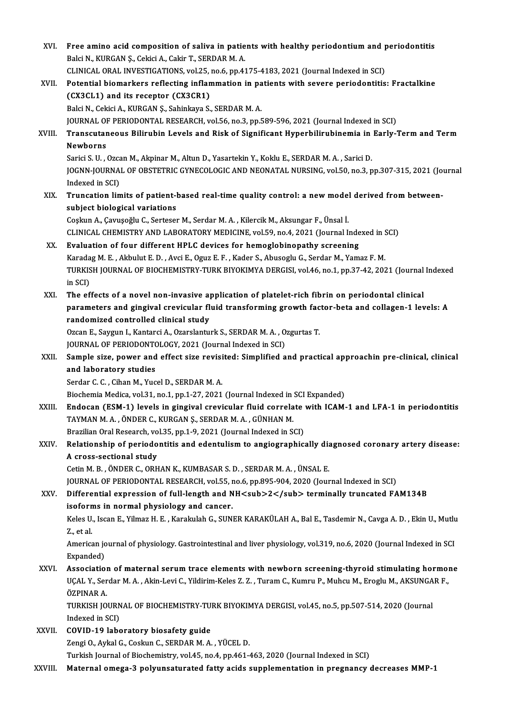| XVI.    | Free amino acid composition of saliva in patients with healthy periodontium and periodontitis                                            |
|---------|------------------------------------------------------------------------------------------------------------------------------------------|
|         | Balci N., KURGAN Ș., Cekici A., Cakir T., SERDAR M. A.                                                                                   |
|         | CLINICAL ORAL INVESTIGATIONS, vol.25, no.6, pp.4175-4183, 2021 (Journal Indexed in SCI)                                                  |
| XVII.   | Potential biomarkers reflecting inflammation in patients with severe periodontitis: Fractalkine                                          |
|         | (CX3CL1) and its receptor (CX3CR1)                                                                                                       |
|         | Balci N., Cekici A., KURGAN Ş., Sahinkaya S., SERDAR M. A.                                                                               |
|         | JOURNAL OF PERIODONTAL RESEARCH, vol.56, no.3, pp.589-596, 2021 (Journal Indexed in SCI)                                                 |
| XVIII.  | Transcutaneous Bilirubin Levels and Risk of Significant Hyperbilirubinemia in Early-Term and Term<br>Newborns                            |
|         | Sarici S. U., Ozcan M., Akpinar M., Altun D., Yasartekin Y., Koklu E., SERDAR M. A., Sarici D.                                           |
|         | JOGNN-JOURNAL OF OBSTETRIC GYNECOLOGIC AND NEONATAL NURSING, vol.50, no.3, pp.307-315, 2021 (Journal<br>Indexed in SCI)                  |
| XIX.    | Truncation limits of patient-based real-time quality control: a new model derived from between-                                          |
|         | subject biological variations                                                                                                            |
|         | Coşkun A., Çavuşoğlu C., Serteser M., Serdar M. A., Kilercik M., Aksungar F., Ünsal İ.                                                   |
|         | CLINICAL CHEMISTRY AND LABORATORY MEDICINE, vol.59, no.4, 2021 (Journal Indexed in SCI)                                                  |
| XX.     | Evaluation of four different HPLC devices for hemoglobinopathy screening                                                                 |
|         | Karadag M. E., Akbulut E. D., Avci E., Oguz E. F., Kader S., Abusoglu G., Serdar M., Yamaz F. M.                                         |
|         | TURKISH JOURNAL OF BIOCHEMISTRY-TURK BIYOKIMYA DERGISI, vol.46, no.1, pp.37-42, 2021 (Journal Indexed                                    |
|         | in SCI)                                                                                                                                  |
| XXI.    | The effects of a novel non-invasive application of platelet-rich fibrin on periodontal clinical                                          |
|         | parameters and gingival crevicular fluid transforming growth factor-beta and collagen-1 levels: A                                        |
|         | randomized controlled clinical study                                                                                                     |
|         | Ozcan E., Saygun I., Kantarci A., Ozarslanturk S., SERDAR M. A., Ozgurtas T.<br>JOURNAL OF PERIODONTOLOGY, 2021 (Journal Indexed in SCI) |
| XXII.   | Sample size, power and effect size revisited: Simplified and practical approachin pre-clinical, clinical                                 |
|         | and laboratory studies                                                                                                                   |
|         | Serdar C. C., Cihan M., Yucel D., SERDAR M. A.                                                                                           |
|         | Biochemia Medica, vol.31, no.1, pp.1-27, 2021 (Journal Indexed in SCI Expanded)                                                          |
| XXIII.  | Endocan (ESM-1) levels in gingival crevicular fluid correlate with ICAM-1 and LFA-1 in periodontitis                                     |
|         | TAYMAN M.A., ÖNDER C., KURGAN Ş., SERDAR M.A., GÜNHAN M.                                                                                 |
|         | Brazilian Oral Research, vol.35, pp.1-9, 2021 (Journal Indexed in SCI)                                                                   |
| XXIV.   | Relationship of periodontitis and edentulism to angiographically diagnosed coronary artery disease:                                      |
|         | A cross-sectional study                                                                                                                  |
|         | Cetin M. B., ÖNDER C., ORHAN K., KUMBASAR S. D., SERDAR M. A., ÜNSAL E.                                                                  |
|         | JOURNAL OF PERIODONTAL RESEARCH, vol.55, no.6, pp.895-904, 2020 (Journal Indexed in SCI)                                                 |
| XXV.    | Differential expression of full-length and NH <sub>2</sub> terminally truncated FAM134B                                                  |
|         | isoforms in normal physiology and cancer.                                                                                                |
|         | Keles U., Iscan E., Yilmaz H. E., Karakulah G., SUNER KARAKÜLAH A., Bal E., Tasdemir N., Cavga A. D., Ekin U., Mutlu                     |
|         | Z, et al.                                                                                                                                |
|         | American journal of physiology. Gastrointestinal and liver physiology, vol.319, no.6, 2020 (Journal Indexed in SCI<br>Expanded)          |
| XXVI.   | Association of maternal serum trace elements with newborn screening-thyroid stimulating hormone                                          |
|         | UÇAL Y., Serdar M. A., Akin-Levi C., Yildirim-Keles Z. Z., Turam C., Kumru P., Muhcu M., Eroglu M., AKSUNGAR F.,                         |
|         | ÖZPINAR A.                                                                                                                               |
|         | TURKISH JOURNAL OF BIOCHEMISTRY-TURK BIYOKIMYA DERGISI, vol.45, no.5, pp.507-514, 2020 (Journal                                          |
|         | Indexed in SCI)                                                                                                                          |
| XXVII.  | COVID-19 laboratory biosafety guide                                                                                                      |
|         | Zengi O., Aykal G., Coskun C., SERDAR M. A., YÜCEL D.                                                                                    |
|         | Turkish Journal of Biochemistry, vol.45, no.4, pp.461-463, 2020 (Journal Indexed in SCI)                                                 |
| XXVIII. | Maternal omega-3 polyunsaturated fatty acids supplementation in pregnancy decreases MMP-1                                                |
|         |                                                                                                                                          |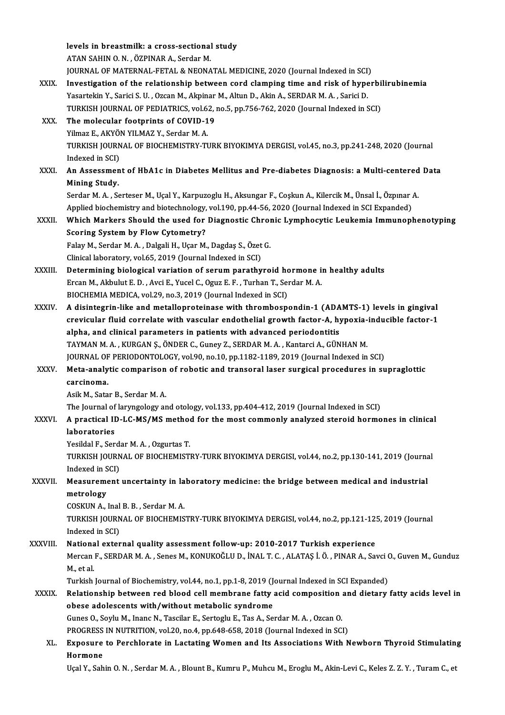|              | levels in breastmilk: a cross-sectional study                                                                            |
|--------------|--------------------------------------------------------------------------------------------------------------------------|
|              | ATAN SAHIN O. N., ÖZPINAR A., Serdar M.                                                                                  |
|              | JOURNAL OF MATERNAL-FETAL & NEONATAL MEDICINE, 2020 (Journal Indexed in SCI)                                             |
| XXIX.        | Investigation of the relationship between cord clamping time and risk of hyperbilirubinemia                              |
|              | Yasartekin Y., Sarici S. U., Ozcan M., Akpinar M., Altun D., Akin A., SERDAR M. A., Sarici D.                            |
|              | TURKISH JOURNAL OF PEDIATRICS, vol.62, no.5, pp.756-762, 2020 (Journal Indexed in SCI)                                   |
| XXX.         | The molecular footprints of COVID-19                                                                                     |
|              | Yilmaz E., AKYÖN YILMAZ Y., Serdar M. A.                                                                                 |
|              | TURKISH JOURNAL OF BIOCHEMISTRY-TURK BIYOKIMYA DERGISI, vol.45, no.3, pp.241-248, 2020 (Journal                          |
|              | Indexed in SCI)                                                                                                          |
| XXXI.        | An Assessment of HbA1c in Diabetes Mellitus and Pre-diabetes Diagnosis: a Multi-centered Data                            |
|              | Mining Study.                                                                                                            |
|              | Serdar M. A., Serteser M., Uçal Y., Karpuzoglu H., Aksungar F., Coşkun A., Kilercik M., Ünsal İ., Özpınar A.             |
|              | Applied biochemistry and biotechnology, vol.190, pp.44-56, 2020 (Journal Indexed in SCI Expanded)                        |
| XXXII.       | Which Markers Should the used for Diagnostic Chronic Lymphocytic Leukemia Immunophenotyping                              |
|              | <b>Scoring System by Flow Cytometry?</b>                                                                                 |
|              | Falay M., Serdar M. A., Dalgali H., Uçar M., Dagdaş S., Özet G.                                                          |
|              | Clinical laboratory, vol.65, 2019 (Journal Indexed in SCI)                                                               |
| XXXIII.      | Determining biological variation of serum parathyroid hormone in healthy adults                                          |
|              | Ercan M., Akbulut E. D., Avci E., Yucel C., Oguz E. F., Turhan T., Serdar M. A.                                          |
|              | BIOCHEMIA MEDICA, vol.29, no.3, 2019 (Journal Indexed in SCI)                                                            |
| <b>XXXIV</b> | A disintegrin-like and metalloproteinase with thrombospondin-1 (ADAMTS-1) levels in gingival                             |
|              | crevicular fluid correlate with vascular endothelial growth factor-A, hypoxia-inducible factor-1                         |
|              | alpha, and clinical parameters in patients with advanced periodontitis                                                   |
|              | TAYMAN M.A., KURGAN S., ÖNDER C., Guney Z., SERDAR M.A., Kantarci A., GÜNHAN M.                                          |
|              | JOURNAL OF PERIODONTOLOGY, vol.90, no.10, pp.1182-1189, 2019 (Journal Indexed in SCI)                                    |
| XXXV.        | Meta-analytic comparison of robotic and transoral laser surgical procedures in supraglottic                              |
|              | carcinoma.                                                                                                               |
|              | Asik M. Satar B. Serdar M. A.                                                                                            |
|              | The Journal of laryngology and otology, vol.133, pp.404-412, 2019 (Journal Indexed in SCI)                               |
| <b>XXXVI</b> | A practical ID-LC-MS/MS method for the most commonly analyzed steroid hormones in clinical                               |
|              | laboratories                                                                                                             |
|              | Yesildal F., Serdar M. A., Ozgurtas T.                                                                                   |
|              | TURKISH JOURNAL OF BIOCHEMISTRY-TURK BIYOKIMYA DERGISI, vol.44, no.2, pp.130-141, 2019 (Journal                          |
|              | Indexed in SCI)                                                                                                          |
| XXXVII.      | Measurement uncertainty in laboratory medicine: the bridge between medical and industrial                                |
|              | metrology                                                                                                                |
|              | COSKUN A., Inal B. B., Serdar M. A.                                                                                      |
|              | TURKISH JOURNAL OF BIOCHEMISTRY-TURK BIYOKIMYA DERGISI, vol.44, no.2, pp.121-125, 2019 (Journal                          |
|              | Indexed in SCI)                                                                                                          |
| XXXVIII.     | National external quality assessment follow-up: 2010-2017 Turkish experience                                             |
|              | Mercan F., SERDAR M. A., Senes M., KONUKOĞLU D., İNAL T. C., ALATAŞ İ. Ö., PINAR A., Savci O., Guven M., Gunduz          |
|              | M, et al.                                                                                                                |
|              | Turkish Journal of Biochemistry, vol.44, no.1, pp.1-8, 2019 (Journal Indexed in SCI Expanded)                            |
| <b>XXXIX</b> | Relationship between red blood cell membrane fatty acid composition and dietary fatty acids level in                     |
|              | obese adolescents with/without metabolic syndrome                                                                        |
|              | Gunes O., Soylu M., Inanc N., Tascilar E., Sertoglu E., Tas A., Serdar M. A., Ozcan O.                                   |
|              | PROGRESS IN NUTRITION, vol.20, no.4, pp.648-658, 2018 (Journal Indexed in SCI)                                           |
| XL.          | Exposure to Perchlorate in Lactating Women and Its Associations With Newborn Thyroid Stimulating                         |
|              | Hormone                                                                                                                  |
|              | Uçal Y., Sahin O. N., Serdar M. A., Blount B., Kumru P., Muhcu M., Eroglu M., Akin-Levi C., Keles Z. Z. Y., Turam C., et |
|              |                                                                                                                          |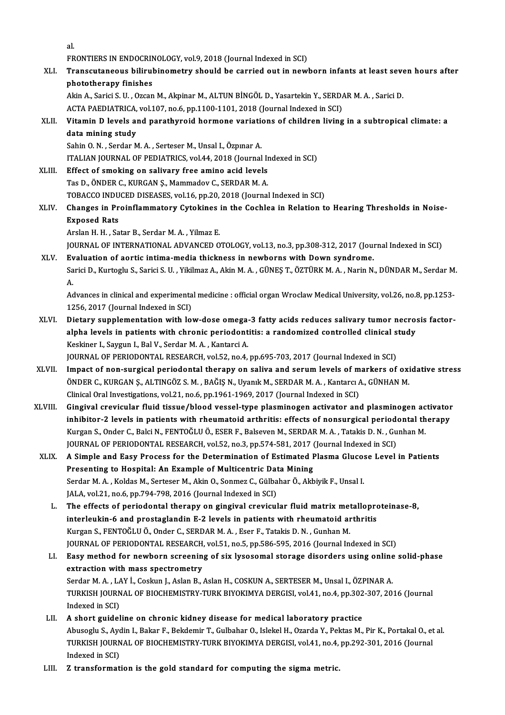al.<br>مع

al.<br>FRONTIERS IN ENDOCRINOLOGY, vol.9, 2018 (Journal Indexed in SCI)<br>Transqutaneous bilinubinometry should be sarried out in now!

al.<br>FRONTIERS IN ENDOCRINOLOGY, vol.9, 2018 (Journal Indexed in SCI)<br>XLI. Transcutaneous bilirubinometry should be carried out in newborn infants at least seven hours after<br>phototherapy finishes FRONTIERS IN ENDOCRIN<br>Transcutaneous bilirul<br>phototherapy finishes Transcutaneous bilirubinometry should be carried out in newborn infants at least sever<br>phototherapy finishes<br>Akin A., Sarici S. U. , Ozcan M., Akpinar M., ALTUN BİNGÖL D., Yasartekin Y., SERDAR M. A. , Sarici D.<br>ACTA BAEDI

phototherapy finishes<br>Akin A., Sarici S. U. , Ozcan M., Akpinar M., ALTUN BİNGÖL D., Yasartekin Y., SERD*l*<br>ACTA PAEDIATRICA, vol.107, no.6, pp.1100-1101, 2018 (Journal Indexed in SCI)<br>Vitamin D. Javak, and parathyroid bor

Akin A., Sarici S. U. , Ozcan M., Akpinar M., ALTUN BINGÖL D., Yasartekin Y., SERDAR M. A. , Sarici D.<br>ACTA PAEDIATRICA, vol.107, no.6, pp.1100-1101, 2018 (Journal Indexed in SCI)<br>XLII. Vitamin D levels and parathyroid ACTA PAEDIATRICA,<br>Vitamin D levels and<br>data mining study<br>Sabin O N Sardar M Vitamin D levels and parathyroid hormone variation<br>data mining study<br>Sahin O.N., Serdar M.A., Serteser M., Unsal I., Özpınar A.<br>ITALIAN JOURNAL OF REDIATRICS .val.44, 2019 (Journal

data mining study<br>Sahin O. N. , Serdar M. A. , Serteser M., Unsal I., Özpınar A.<br>ITALIAN JOURNAL OF PEDIATRICS, vol.44, 2018 (Journal Indexed in SCI)<br>Effect of smoking on saliyary free amine asid levels Sahin O. N., Serdar M. A., Serteser M., Unsal I., Özpinar A.<br>ITALIAN JOURNAL OF PEDIATRICS, vol.44, 2018 (Journal In<br>XLIII. Effect of smoking on salivary free amino acid levels<br>Tes D. ÖNDER C. KURCAN S. Mammaday C. SERDAR

- ITALIAN JOURNAL OF PEDIATRICS, vol.44, 2018 (Journal In<br>Effect of smoking on salivary free amino acid levels<br>Tas D., ÖNDER C., KURGAN Ş., Mammadov C., SERDAR M. A.<br>TORACCO INDUCED DISEASES vol.16, np.20, 2018 (Journal Effect of smoking on salivary free amino acid levels<br>Tas D., ÖNDER C., KURGAN Ş., Mammadov C., SERDAR M. A.<br>TOBACCO INDUCED DISEASES, vol.16, pp.20, 2018 (Journal Indexed in SCI)
- Tas D., ÖNDER C., KURGAN Ş., Mammadov C., SERDAR M. A.<br>TOBACCO INDUCED DISEASES, vol.16, pp.20, 2018 (Journal Indexed in SCI)<br>XLIV. Changes in Proinflammatory Cytokines in the Cochlea in Relation to Hearing Thresholds TOBACCO INDU<br>Changes in Pr<br>Exposed Rats<br>Arclan H H So Changes in Proinflammatory Cytokines<br>Exposed Rats<br>Arslan H. H. , Satar B., Serdar M. A. , Yilmaz E.<br>JOUPNAL OF INTERNATIONAL ADVANCED O Exposed Rats<br>Arslan H. H. , Satar B., Serdar M. A. , Yilmaz E.<br>JOURNAL OF INTERNATIONAL ADVANCED OTOLOGY, vol.13, no.3, pp.308-312, 2017 (Journal Indexed in SCI)

XLV. Evaluation of aortic intima-media thickness in newborns with Down syndrome. JOURNAL OF INTERNATIONAL ADVANCED OTOLOGY, vol.13, no.3, pp.308-312, 2017 (Journal Indexed in SCI)<br><mark>Evaluation of aortic intima-media thickness in newborns with Down syndrome.</mark><br>Sarici D., Kurtoglu S., Sarici S. U. , Yikilm Ev<br>Sa<br>A. Sarici D., Kurtoglu S., Sarici S. U. , Yikilmaz A., Akin M. A. , GÜNEŞ T., ÖZTÜRK M. A. , Narin N., DÜNDAR M., Serdar M.<br>A.<br>Advances in clinical and experimental medicine : official organ Wroclaw Medical University, vol.26

A.<br>Advances in clinical and experimental medicine : official organ Wroclaw Medical University, vol.26, no.8, pp.1253-<br>1256, 2017 (Journal Indexed in SCI) Advances in clinical and experimental medicine : official organ Wroclaw Medical University, vol.26, no.8, pp.1253-<br>1256, 2017 (Journal Indexed in SCI)<br>XLVI. Dietary supplementation with low-dose omega-3 fatty acids reduces

1256, 2017 (Journal Indexed in SCI)<br>Dietary supplementation with low-dose omega-3 fatty acids reduces salivary tumor necro:<br>alpha levels in patients with chronic periodontitis: a randomized controlled clinical study Dietary supplementation with low-dose omega-<br>alpha levels in patients with chronic periodont<br>Keskiner I., Saygun I., Bal V., Serdar M. A. , Kantarci A.<br>JOUPMAL OF PERJODONTAL PESEARCH VOLE2, DO 4. alpha levels in patients with chronic periodontitis: a randomized controlled clinical study Keskiner I., Saygun I., Bal V., Serdar M. A., Kantarci A.

JOURNAL OF PERIODONTAL RESEARCH, vol.52, no.4, pp.695-703, 2017 (Journal Indexed in SCI)

- XLVII. Impact of non-surgical periodontal therapy on saliva and serum levels of markers of oxidative stress<br>ÖNDER C., KURGAN Ş., ALTINGÖZ S. M., BAĞIŞ N., Uyanık M., SERDAR M. A., Kantarcı A., GÜNHAN M. Clinical Oral Investigations, vol.21, no.6, pp.1961-1969, 2017 (Journal Indexed in SCI) ÖNDER C., KURGAN Ş., ALTINGÖZ S. M. , BAĞIŞ N., Uyanık M., SERDAR M. A. , Kantarcı A., GÜNHAN M.<br>Clinical Oral Investigations, vol.21, no.6, pp.1961-1969, 2017 (Journal Indexed in SCI)<br>XLVIII. Gingival crevicular fluid tis
- Clinical Oral Investigations, vol.21, no.6, pp.1961-1969, 2017 (Journal Indexed in SCI)<br>Gingival crevicular fluid tissue/blood vessel-type plasminogen activator and plasminogen activator<br>inhibitor-2 levels in patients with Gingival crevicular fluid tissue/blood vessel-type plasminogen activator and plasminogen ac<br>inhibitor-2 levels in patients with rheumatoid arthritis: effects of nonsurgical periodontal th<br>Kurgan S., Onder C., Balci N., FEN inhibitor-2 levels in patients with rheumatoid arthritis: effects of nonsurgical periode<br>Kurgan S., Onder C., Balci N., FENTOĞLU Ö., ESER F., Balseven M., SERDAR M. A. , Tatakis D. N. , Gu<br>JOURNAL OF PERIODONTAL RESEARCH, Kurgan S., Onder C., Balci N., FENTOĞLU Ö., ESER F., Balseven M., SERDAR M. A., Tatakis D. N., Gunhan M.<br>JOURNAL OF PERIODONTAL RESEARCH, vol.52, no.3, pp.574-581, 2017 (Journal Indexed in SCI)<br>XLIX. A Simple and Easy Proc
- JOURNAL OF PERIODONTAL RESEARCH, vol.52, no.3, pp.574-581, 2017 (Journal Indexed in SCI)<br>A Simple and Easy Process for the Determination of Estimated Plasma Glucose Level<br>Presenting to Hospital: An Example of Multicentric A Simple and Easy Process for the Determination of Estimated Plasma Gluco:<br>Presenting to Hospital: An Example of Multicentric Data Mining<br>Serdar M. A. , Koldas M., Serteser M., Akin O., Sonmez C., Gülbahar Ö., Akbiyik F., Presenting to Hospital: An Example of Multicentric Data Mining<br>Serdar M. A., Koldas M., Serteser M., Akin O., Sonmez C., Gülbahar Ö., Akb<br>JALA, vol.21, no.6, pp.794-798, 2016 (Journal Indexed in SCI) Serdar M. A., Koldas M., Serteser M., Akin O., Sonmez C., Gülbahar Ö., Akbiyik F., Unsal I.<br>JALA, vol.21, no.6, pp.794-798, 2016 (Journal Indexed in SCI)<br>L. The effects of periodontal therapy on gingival crevicular fluid m
	- JALA, vol.21, no.6, pp.794-798, 2016 (Journal Indexed in SCI)<br>The effects of periodontal therapy on gingival crevicular fluid matrix metallopro<br>interleukin-6 and prostaglandin E-2 levels in patients with rheumatoid arthrit The effects of periodontal therapy on gingival crevicular fluid matrix met<br>interleukin-6 and prostaglandin E-2 levels in patients with rheumatoid ar<br>Kurgan S., FENTOĞLU Ö., Onder C., SERDAR M. A. , Eser F., Tatakis D. N. , interleukin-6 and prostaglandin E-2 levels in patients with rheumatoid arthritis<br>Kurgan S., FENTOĞLU Ö., Onder C., SERDAR M. A. , Eser F., Tatakis D. N. , Gunhan M.<br>JOURNAL OF PERIODONTAL RESEARCH, vol.51, no.5, pp.586-595 Kurgan S., FENTOĞLU Ö., Onder C., SERDAR M. A. , Eser F., Tatakis D. N. , Gunhan M.<br>JOURNAL OF PERIODONTAL RESEARCH, vol.51, no.5, pp.586-595, 2016 (Journal Indexed in SCI)<br>LI. Easy method for newborn screening of six lyso
	- JOURNAL OF PERIODONTAL RESEARCH,<br>Easy method for newborn screening<br>extraction with mass spectrometry<br>Serder M A J AV L Ceslau L Aslan B Easy method for newborn screening of six lysosomal storage disorders using online<br>extraction with mass spectrometry<br>Serdar M. A. , LAY İ., Coskun J., Aslan B., Aslan H., COSKUN A., SERTESER M., Unsal I., ÖZPINAR A.<br>TURKISH extraction with mass spectrometry<br>Serdar M. A. , LAY İ., Coskun J., Aslan B., Aslan H., COSKUN A., SERTESER M., Unsal I., ÖZPINAR A.<br>TURKISH JOURNAL OF BIOCHEMISTRY-TURK BIYOKIMYA DERGISI, vol.41, no.4, pp.302-307, 2016 (J Serdar M. A., LAY İ., Coskun J., Aslan B., Aslan H., COSKUN A., SERTESER M., Unsal I., ÖZPINAR A.
- LII. A short guideline on chronic kidney disease for medical laboratory practice Indexed in SCI)<br>A short guideline on chronic kidney disease for medical laboratory practice<br>Abusoglu S., Aydin I., Bakar F., Bekdemir T., Gulbahar O., Islekel H., Ozarda Y., Pektas M., Pir K., Portakal O., et al.<br>TURKISH J A short guideline on chronic kidney disease for medical laboratory practice<br>Abusoglu S., Aydin I., Bakar F., Bekdemir T., Gulbahar O., Islekel H., Ozarda Y., Pektas M., Pir K., Portakal O., et<br>TURKISH JOURNAL OF BIOCHEMIST Abusoglu S., Ayo<br>TURKISH JOURN<br>Indexed in SCI)<br>7 transformat TURKISH JOURNAL OF BIOCHEMISTRY-TURK BIYOKIMYA DERGISI, vol.41, no.4, pp.292-301, 2016 (Journal Indexed in SCI)<br>LIII. Z transformation is the gold standard for computing the sigma metric.
-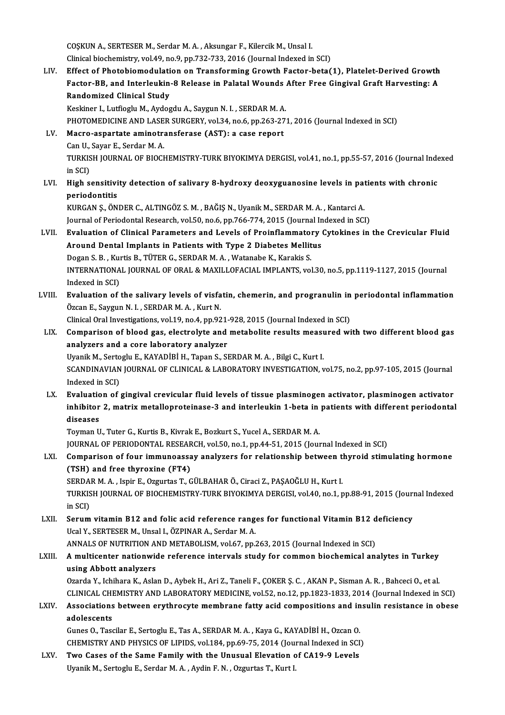COȘKUN A., SERTESER M., Serdar M. A., Aksungar F., Kilercik M., Unsal I. Clinical biochemistry, vol.49, no.9, pp.732-733, 2016 (Journal Indexed in SCI)

LIV. Effect of Photobiomodulation on Transforming Growth Factor-beta(1), Platelet-Derived Growth Clinical biochemistry, vol.49, no.9, pp.732-733, 2016 (Journal Indexed in SCI)<br>Effect of Photobiomodulation on Transforming Growth Factor-beta(1), Platelet-Derived Growth<br>Factor-BB, and Interleukin-8 Release in Palatal Wou Effect of Photobiomodulati<br>Factor-BB, and Interleukin<br>Randomized Clinical Study<br>Keskiper L. Lutforlu M. Aydee Factor-BB, and Interleukin-8 Release in Palatal Wounds<br>Randomized Clinical Study<br>Keskiner I., Lutfioglu M., Aydogdu A., Saygun N. I. , SERDAR M. A.<br>PHOTOMEDICINE AND LASER SURCERY Vol 34, no 6, np 363, 37. Randomized Clinical Study<br>Keskiner I., Lutfioglu M., Aydogdu A., Saygun N. I. , SERDAR M. A.<br>PHOTOMEDICINE AND LASER SURGERY, vol.34, no.6, pp.263-271, 2016 (Journal Indexed in SCI)<br>Masro, aspartato aminotransforase (AST) Keskiner I., Lutfioglu M., Aydogdu A., Saygun N. I. , SERDAR M. A.<br>PHOTOMEDICINE AND LASER SURGERY, vol.34, no.6, pp.263-271<br>LV. Macro-aspartate aminotransferase (AST): a case report<br>Can U., Savar E., Serdar M. A. PHOTOMEDICINE AND LASE<br>Macro-aspartate aminotra<br>Can U., Sayar E., Serdar M. A.<br>TURKISH JOURNAL OF PJOCK Macro-aspartate aminotransferase (AST): a case report<br>Can U., Sayar E., Serdar M. A.<br>TURKISH JOURNAL OF BIOCHEMISTRY-TURK BIYOKIMYA DERGISI, vol.41, no.1, pp.55-57, 2016 (Journal Indexed<br>in SCD Can U.,<br>TURKIS<br>in SCI)<br>High S TURKISH JOURNAL OF BIOCHEMISTRY-TURK BIYOKIMYA DERGISI, vol.41, no.1, pp.55-57, 2016 (Journal Inde<br>in SCI)<br>LVI. High sensitivity detection of salivary 8-hydroxy deoxyguanosine levels in patients with chronic<br>poriodoptitic in SCI)<br>LVI. High sensitivity detection of salivary 8-hydroxy deoxyguanosine levels in patients with chronic<br>periodontitis High sensitivity detection of salivary 8-hydroxy deoxyguanosine levels in pat<br>periodontitis<br>KURGAN Ş., ÖNDER C., ALTINGÖZ S.M. , BAĞIŞ N., Uyanik M., SERDAR M. A. , Kantarci A.<br>Journal of Beriodontal Bessarsh vel 50 na 6 n periodontitis<br>KURGAN Ş., ÖNDER C., ALTINGÖZ S. M. , BAĞIŞ N., Uyanik M., SERDAR M. A. , Kantarci A.<br>Journal of Periodontal Research, vol.50, no.6, pp.766-774, 2015 (Journal Indexed in SCI)<br>Evaluation of Clinical Peremeters KURGAN Ș., ÖNDER C., ALTINGÖZ S. M. , BAĞIŞ N., Uyanik M., SERDAR M. A. , Kantarci A.<br>Journal of Periodontal Research, vol.50, no.6, pp.766-774, 2015 (Journal Indexed in SCI)<br>LVII. Evaluation of Clinical Parameters and Lev Journal of Periodontal Research, vol.50, no.6, pp.766-774, 2015 (Journal Indexed in SCI)<br>Evaluation of Clinical Parameters and Levels of Proinflammatory Cytokines in<br>Around Dental Implants in Patients with Type 2 Diabetes Evaluation of Clinical Parameters and Levels of Proinflammato<br>Around Dental Implants in Patients with Type 2 Diabetes Mellit<br>Dogan S. B., Kurtis B., TÜTER G., SERDAR M. A., Watanabe K., Karakis S.<br>INTERNATIONAL JOURNAL OF

Around Dental Implants in Patients with Type 2 Diabetes Mellitus<br>Dogan S. B. , Kurtis B., TÜTER G., SERDAR M. A. , Watanabe K., Karakis S.<br>INTERNATIONAL JOURNAL OF ORAL & MAXILLOFACIAL IMPLANTS, vol.30, no.5, pp.1119-1127, Dogan S. B. , Kui<br>INTERNATIONA<br>Indexed in SCI)<br>Evaluation of INTERNATIONAL JOURNAL OF ORAL & MAXILLOFACIAL IMPLANTS, vol.30, no.5, pp.1119-1127, 2015 (Journal<br>Indexed in SCI)<br>LVIII. Evaluation of the salivary levels of visfatin, chemerin, and progranulin in periodontal inflammation<br>

Indexed in SCI)<br>Evaluation of the salivary levels of visfatin, chemerin, and progranulin in periodontal inflammation<br>Özcan E., Saygun N. I. , SERDAR M. A. , Kurt N. Evaluation of the salivary levels of visfatin, chemerin, and progranulin in<br>Özcan E., Saygun N. I. , SERDAR M. A. , Kurt N.<br>Clinical Oral Investigations, vol.19, no.4, pp.921-928, 2015 (Journal Indexed in SCI)<br>Comparison o

- Özcan E., Saygun N. I. , SERDAR M. A. , Kurt N.<br>Clinical Oral Investigations, vol.19, no.4, pp.921-928, 2015 (Journal Indexed in SCI)<br>LIX. Comparison of blood gas, electrolyte and metabolite results measured with two diffe Clinical Oral Investigations, vol.19, no.4, pp.921-<br>Comparison of blood gas, electrolyte and<br>analyzers and a core laboratory analyzer<br>Uranik M. Settesly E. KAVADIPLY Tapen S. SI Comparison of blood gas, electrolyte and metabolite results measu<br>analyzers and a core laboratory analyzer<br>Uyanik M., Sertoglu E., KAYADİBİ H., Tapan S., SERDAR M. A. , Bilgi C., Kurt I.<br>SCANDINAVIAN JOUPNAL OF CLINICAL & analyzers and a core laboratory analyzer<br>Uyanik M., Sertoglu E., KAYADİBİ H., Tapan S., SERDAR M. A. , Bilgi C., Kurt I.<br>SCANDINAVIAN JOURNAL OF CLINICAL & LABORATORY INVESTIGATION, vol.75, no.2, pp.97-105, 2015 (Journal<br>I Uyanik M., Sertoglu E., KAYADİBİ H., Tapan S., SERDAR M. A., Bilgi C., Kurt I. SCANDINAVIAN JOURNAL OF CLINICAL & LABORATORY INVESTIGATION, vol.75, no.2, pp.97-105, 2015 (Journal<br>Indexed in SCI)<br>LX. Evaluation of gingival crevicular fluid levels of tissue plasminogen activator, plasminogen activator<br>
- Indexed in SCI)<br>Evaluation of gingival crevicular fluid levels of tissue plasminogen activator, plasminogen activator<br>inhibitor 2, matrix metalloproteinase-3 and interleukin 1-beta in patients with different periodontal<br>di Evaluatio<br>inhibitor<br>diseases<br>Touman U inhibitor 2, matrix metalloproteinase-3 and interleukin 1-beta in patients with different periodontal diseases<br>diseases<br>Toyman U., Tuter G., Kurtis B., Kivrak E., Bozkurt S., Yucel A., SERDAR M. A.

diseases<br>Toyman U., Tuter G., Kurtis B., Kivrak E., Bozkurt S., Yucel A., SERDAR M. A.<br>JOURNAL OF PERIODONTAL RESEARCH, vol.50, no.1, pp.44-51, 2015 (Journal Indexed in SCI)<br>Comparisor of four immuneassey anglysers for rel

## Toyman U., Tuter G., Kurtis B., Kivrak E., Bozkurt S., Yucel A., SERDAR M. A.<br>JOURNAL OF PERIODONTAL RESEARCH, vol.50, no.1, pp.44-51, 2015 (Journal Indexed in SCI)<br>LXI. Comparison of four immunoassay analyzers for relatio (JOURNAL OF PERIODONTAL RESEAR<br>Comparison of four immunoassa<br>(TSH) and free thyroxine (FT4) Comparison of four immunoassay analyzers for relationship between t<br>(TSH) and free thyroxine (FT4)<br>SERDAR M. A., Ispir E., Ozgurtas T., GÜLBAHAR Ö., Ciraci Z., PAŞAOĞLU H., Kurt I.<br>TURKISH JOURNAL OF BIOCHEMISTRY TURK BIVO

(TSH) and free thyroxine (FT4)<br>SERDAR M. A. , Ispir E., Ozgurtas T., GÜLBAHAR Ö., Ciraci Z., PAŞAOĞLU H., Kurt I.<br>TURKISH JOURNAL OF BIOCHEMISTRY-TURK BIYOKIMYA DERGISI, vol.40, no.1, pp.88-91, 2015 (Journal Indexed<br>in SCD SERDA<br>TURKIS<br>in SCI)<br>Serum TURKISH JOURNAL OF BIOCHEMISTRY-TURK BIYOKIMYA DERGISI, vol.40, no.1, pp.88-91, 2015 (Journ<br>in SCI)<br>LXII. Serum vitamin B12 and folic acid reference ranges for functional Vitamin B12 deficiency<br>LIGN V SEPTESER M URGNU ÖZPI

in SCI)<br>LXII. Serum vitamin B12 and folic acid reference ranges for functional Vitamin B12 deficiency<br>Ucal Y., SERTESER M., Unsal I., ÖZPINAR A., Serdar M. A. Serum vitamin B12 and folic acid reference ranges for functional Vitamin B12 d<br>Ucal Y., SERTESER M., Unsal I., ÖZPINAR A., Serdar M. A.<br>ANNALS OF NUTRITION AND METABOLISM, vol.67, pp.263, 2015 (Journal Indexed in SCI)<br>A mu

## Ucal Y., SERTESER M., Unsal I., ÖZPINAR A., Serdar M. A.<br>ANNALS OF NUTRITION AND METABOLISM, vol.67, pp.263, 2015 (Journal Indexed in SCI)<br>LXIII. A multicenter nationwide reference intervals study for common biochemica ANNALS OF NUTRITION A<br>**A multicenter nationwide**<br>using Abbott analyzers A multicenter nationwide reference intervals study for common biochemical analytes in Turkey<br>using Abbott analyzers<br>Ozarda Y., Ichihara K., Aslan D., Aybek H., Ari Z., Taneli F., ÇOKER Ş. C. , AKAN P., Sisman A. R. , Bahce

using Abbott analyzers<br>Ozarda Y., Ichihara K., Aslan D., Aybek H., Ari Z., Taneli F., ÇOKER Ş. C. , AKAN P., Sisman A. R. , Bahceci O., et al.<br>CLINICAL CHEMISTRY AND LABORATORY MEDICINE, vol.52, no.12, pp.1823-1833, 2014 (

# Ozarda Y., Ichihara K., Aslan D., Aybek H., Ari Z., Taneli F., ÇOKER Ş. C. , AKAN P., Sisman A. R. , Bahceci O., et al.<br>CLINICAL CHEMISTRY AND LABORATORY MEDICINE, vol.52, no.12, pp.1823-1833, 2014 (Journal Indexed in SCI) CLINICAL CHI<br>Associations<br>adolescents<br>Cunes O. Tass

Gunes O., Tascilar E., Sertoglu E., Tas A., SERDAR M. A., Kaya G., KAYADİBİ H., Ozcan O. adolescents<br>Gunes O., Tascilar E., Sertoglu E., Tas A., SERDAR M. A. , Kaya G., KAYADİBİ H., Ozcan O.<br>CHEMISTRY AND PHYSICS OF LIPIDS, vol.184, pp.69-75, 2014 (Journal Indexed in SCI)<br>Ture Gasse of the Same Family with the

LXV. Two Cases of the Same Family with the Unusual Elevation of CA19-9 Levels<br>Uyanik M., Sertoglu E., Serdar M. A., Aydin F. N., Ozgurtas T., Kurt I. CHEMISTRY AND PHYSICS OF LIPIDS, vol.184, pp.69-75, 2014 (Jou:<br><mark>Two Cases of the Same Family with the Unusual Elevation o</mark><br>Uyanik M., Sertoglu E., Serdar M. A. , Aydin F. N. , Ozgurtas T., Kurt I.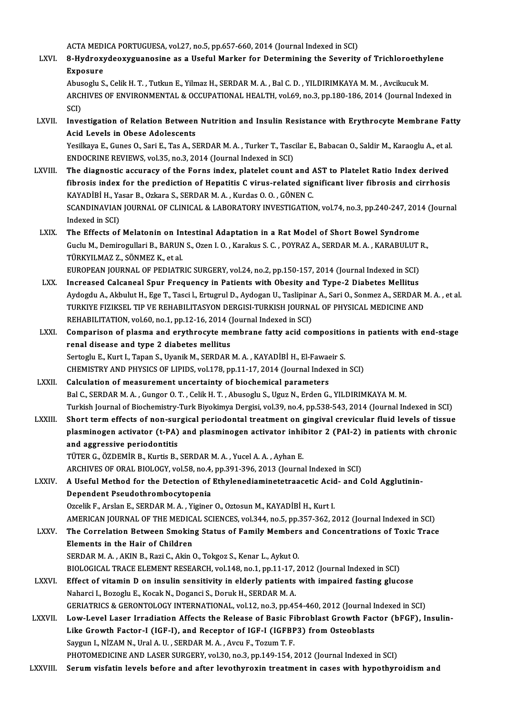ACTA MEDICA PORTUGUESA, vol.27, no.5, pp.657-660, 2014 (Journal Indexed in SCI)<br>-<br>- Hydnowydoowywanoeine ee a Heefyl Morker for Determining the Sevenity

LXVI. 8-Hydroxydeoxyguanosine as a Useful Marker for Determining the Severity of Trichloroethylene<br>Exposure ACTA MED<br>**8-Hydroxy**<br>Exposure<br>Abusosure 8-Hydroxydeoxyguanosine as a Useful Marker for Determining the Severity of Trichloroethyl<br>Exposure<br>Abusoglu S., Celik H. T. , Tutkun E., Yilmaz H., SERDAR M. A. , Bal C. D. , YILDIRIMKAYA M. M. , Avcikucuk M.<br>ARCHIVES OF E

ARCHIVES OF ENVIRONMENTAL & OCCUPATIONAL HEALTH, vol.69, no.3, pp.180-186, 2014 (Journal Indexed in<br>SCI) Abus<br>ARCI<br>SCI)<br>Invo ARCHIVES OF ENVIRONMENTAL & OCCUPATIONAL HEALTH, vol.69, no.3, pp.180-186, 2014 (Journal Indexed in<br>SCI)<br>LXVII. Investigation of Relation Between Nutrition and Insulin Resistance with Erythrocyte Membrane Fatty<br>Acid Layels

SCI)<br>Investigation of Relation Between<br>Acid Levels in Obese Adolescents<br>Yesillava E. Cunes O. Sari E. Tas A. Si Investigation of Relation Between Nutrition and Insulin Resistance with Erythrocyte Membrane Fat<br>Acid Levels in Obese Adolescents<br>Yesilkaya E., Gunes O., Sari E., Tas A., SERDAR M. A. , Turker T., Tascilar E., Babacan O.,

Acid Levels in Obese Adolescents<br>Yesilkaya E., Gunes O., Sari E., Tas A., SERDAR M. A. , Turker T., Tasc<br>ENDOCRINE REVIEWS, vol.35, no.3, 2014 (Journal Indexed in SCI)<br>The diagnostic acqurecy of the Forns index, platelet c Yesilkaya E., Gunes O., Sari E., Tas A., SERDAR M. A., Turker T., Tascilar E., Babacan O., Saldir M., Karaoglu A., et al.<br>ENDOCRINE REVIEWS, vol.35, no.3, 2014 (Journal Indexed in SCI)<br>LXVIII. The diagnostic accuracy of th

- ENDOCRINE REVIEWS, vol.35, no.3, 2014 (Journal Indexed in SCI)<br>The diagnostic accuracy of the Forns index, platelet count and AST to Platelet Ratio Index derived<br>fibrosis index for the prediction of Hepatitis C virus-relat The diagnostic accuracy of the Forns index, platelet count and *l*<br>fibrosis index for the prediction of Hepatitis C virus-related sig<br>KAYADİBİ H., Yasar B., Ozkara S., SERDAR M. A. , Kurdas O. O. , GÖNEN C.<br>SCANDINAVIAN JO fibrosis index for the prediction of Hepatitis C virus-related significant liver fibrosis and cirrhosis<br>KAYADİBİ H., Yasar B., Ozkara S., SERDAR M. A. , Kurdas O. O. , GÖNEN C.<br>SCANDINAVIAN JOURNAL OF CLINICAL & LABORATORY KAYADİBİ H., Ya<br>SCANDINAVIAN<br>Indexed in SCI)<br>The Effects of SCANDINAVIAN JOURNAL OF CLINICAL & LABORATORY INVESTIGATION, vol.74, no.3, pp.240-247, 201<br>Indexed in SCI)<br>LXIX. The Effects of Melatonin on Intestinal Adaptation in a Rat Model of Short Bowel Syndrome<br>Cycly M. Deminogylla
- Indexed in SCI)<br>The Effects of Melatonin on Intestinal Adaptation in a Rat Model of Short Bowel Syndrome<br>Guclu M., Demirogullari B., BARUN S., Ozen I. O. , Karakus S. C. , POYRAZ A., SERDAR M. A. , KARABULUT R.,<br>TÜRKVU MAZ The Effects of Melatonin on In<br>Guclu M., Demirogullari B., BARUN<br>TÜRKYILMAZ Z., SÖNMEZ K., et al.<br>EUROPEAN JOURNAL OF PEDIATR Guclu M., Demirogullari B., BARUN S., Ozen I. O. , Karakus S. C. , POYRAZ A., SERDAR M. A. , KARABULUT |<br>TÜRKYILMAZ Z., SÖNMEZ K., et al.<br>EUROPEAN JOURNAL OF PEDIATRIC SURGERY, vol.24, no.2, pp.150-157, 2014 (Journal Index TÜRKYILMAZ Z., SÖNMEZ K., et al.<br>EUROPEAN JOURNAL OF PEDIATRIC SURGERY, vol.24, no.2, pp.150-157, 2014 (Journal Indexed in SCI)<br>LXX. Increased Calcaneal Spur Frequency in Patients with Obesity and Type-2 Diabetes Melli
- EUROPEAN JOURNAL OF PEDIATRIC SURGERY, vol.24, no.2, pp.150-157, 2014 (Journal Indexed in SCI)<br>Increased Calcaneal Spur Frequency in Patients with Obesity and Type-2 Diabetes Mellitus<br>Aydogdu A., Akbulut H., Ege T., Tasci Increased Calcaneal Spur Frequency in Patients with Obesity and Type-2 Diabetes Mellitus<br>Aydogdu A., Akbulut H., Ege T., Tasci l., Ertugrul D., Aydogan U., Taslipinar A., Sari O., Sonmez A., SERDAR M<br>TURKIYE FIZIKSEL TIP V Aydogdu A., Akbulut H., Ege T., Tasci l., Ertugrul D., Aydogan U., Taslipina<br>TURKIYE FIZIKSEL TIP VE REHABILITASYON DERGISI-TURKISH JOURNA<br>REHABILITATION, vol.60, no.1, pp.12-16, 2014 (Journal Indexed in SCI)<br>Comparison of TURKIYE FIZIKSEL TIP VE REHABILITASYON DERGISI-TURKISH JOURNAL OF PHYSICAL MEDICINE AND<br>REHABILITATION, vol.60, no.1, pp.12-16, 2014 (Journal Indexed in SCI)<br>LXXI. Comparison of plasma and erythrocyte membrane fatty acid c
- REHABILITATION, vol.60, no.1, pp.12-16, 2014 (<br>Comparison of plasma and erythrocyte me<br>renal disease and type 2 diabetes mellitus<br>Sertegly E. Kurt L. Tapen S. Hrapik M. SERDAR Comparison of plasma and erythrocyte membrane fatty acid compositio<br>renal disease and type 2 diabetes mellitus<br>Sertoglu E., Kurt I., Tapan S., Uyanik M., SERDAR M. A. , KAYADİBİ H., El-Fawaeir S.<br>CHEMISTRY AND BHYSICS OF L renal disease and type 2 diabetes mellitus<br>Sertoglu E., Kurt I., Tapan S., Uyanik M., SERDAR M. A., KAYADIBI H., El-Fawaeir S.<br>CHEMISTRY AND PHYSICS OF LIPIDS, vol.178, pp.11-17, 2014 (Journal Indexed in SCI)<br>Calculation o Sertoglu E., Kurt I., Tapan S., Uyanik M., SERDAR M. A. , KAYADİBİ H., El-Fawaeir S.<br>CHEMISTRY AND PHYSICS OF LIPIDS, vol.178, pp.11-17, 2014 (Journal Indexed in<br>LXXII. Calculation of measurement uncertainty of biochem
- Bal C., SERDAR M. A., Gungor O. T., Celik H. T., Abusoglu S., Uguz N., Erden G., YILDIRIMKAYA M. M. Turkish Journal of Biochemistry-Turk Biyokimya Dergisi, vol.39, no.4, pp.538-543, 2014 (Journal Indexed in SCI)
- LXXIII. Short term effects of non-surgical periodontal treatment on gingival crevicular fluid levels of tissue Turkish Journal of Biochemistry-Turk Biyokimya Dergisi, vol.39, no.4, pp.538-543, 2014 (Journal Indexed in SCI)<br>Short term effects of non-surgical periodontal treatment on gingival crevicular fluid levels of tissue<br>plasmin Short term effects of non-sur<br>plasminogen activator (t-PA)<br>and aggressive periodontitis<br>T<sup>üren C. Ö</sub>znemin B. Kurtis B.</sup> plasminogen activator (t-PA) and plasminogen activator inhil<br>and aggressive periodontitis<br>TÜTER G., ÖZDEMİR B., Kurtis B., SERDAR M. A. , Yucel A. A. , Ayhan E.<br>ARCHIVES OF ORAL BIOLOCY vel 59 no.4 nn 201 206 2012 (Jaunna and aggressive periodontitis<br>TÜTER G., ÖZDEMİR B., Kurtis B., SERDAR M. A. , Yucel A. A. , Ayhan E.<br>ARCHIVES OF ORAL BIOLOGY, vol.58, no.4, pp.391-396, 2013 (Journal Indexed in SCI)<br>A Hasful Mathad far the Datastian of Eth
	- -

# TÜTER G., ÖZDEMİR B., Kurtis B., SERDAR M. A. , Yucel A. A. , Ayhan E.<br>ARCHIVES OF ORAL BIOLOGY, vol.58, no.4, pp.391-396, 2013 (Journal Indexed in SCI)<br>LXXIV. A Useful Method for the Detection of Ethylenediaminetetraaceti ARCHIVES OF ORAL BIOLOGY, vol.58, no.4,<br>A Useful Method for the Detection of<br>Dependent Pseudothrombocytopenia<br>Orgalik E. Arclan E. SEPDAR M.A. Viginar Dependent Pseudothrombocytopenia<br>Ozcelik F., Arslan E., SERDAR M. A. , Yiginer O., Oztosun M., KAYADİBİ H., Kurt I.<br>AMERICAN JOURNAL OF THE MEDICAL SCIENCES, vol.344, no.5, pp.357-362, 2012 (Journal Indexed in SCI)<br>The Cor

- Ozcelik F., Arslan E., SERDAR M.A., Yiginer O., Oztosun M., KAYADİBİ H., Kurt I.
- 
- Ozcelik F., Arslan E., SERDAR M. A. , Yiginer O., Oztosun M., KAYADİBİ H., Kurt I.<br>AMERICAN JOURNAL OF THE MEDICAL SCIENCES, vol.344, no.5, pp.357-362, 2012 (Journal Indexed in SCI)<br>LXXV. The Correlation Between Smoking St The Correlation Between Smoking Status of Family Members and Concentrations of Toxic Trace<br>Elements in the Hair of Children SERDAR M.A., AKIN B., Razi C., Akin O., Tokgoz S., Kenar L., Aykut O. Elements in the Hair of Children<br>SERDAR M. A. , AKIN B., Razi C., Akin O., Tokgoz S., Kenar L., Aykut O.<br>BIOLOGICAL TRACE ELEMENT RESEARCH, vol.148, no.1, pp.11-17, 2012 (Journal Indexed in SCI)<br>Effect of vitemin D on insu
	-
- LXXVI. Effect of vitamin D on insulin sensitivity in elderly patients with impaired fasting glucose<br>Naharci I., Bozoglu E., Kocak N., Doganci S., Doruk H., SERDAR M. A. BIOLOGICAL TRACE ELEMENT RESEARCH, vol.148, no.1, pp.11-17, Effect of vitamin D on insulin sensitivity in elderly patients<br>Naharci I., Bozoglu E., Kocak N., Doganci S., Doruk H., SERDAR M. A.<br>CERLATRICS & CERONTOLOGY INTER Effect of vitamin D on insulin sensitivity in elderly patients with impaired fasting glucose<br>Naharci I., Bozoglu E., Kocak N., Doganci S., Doruk H., SERDAR M. A.<br>GERIATRICS & GERONTOLOGY INTERNATIONAL, vol.12, no.3, pp.454
	-
- LXXVII. Low-Level Laser Irradiation Affects the Release of Basic Fibroblast Growth Factor (bFGF), Insulin-GERIATRICS & GERONTOLOGY INTERNATIONAL, vol.12, no.3, pp.454-460, 2012 (Journal International Property Construction<br>Low-Level Laser Irradiation Affects the Release of Basic Fibroblast Growth Factor-I (IGF-I), and Receptor Like Growth Factor-I (IGF-I), and Receptor of IGF-I (IGFBP3) from Osteoblasts Saygun I., NİZAM N., Ural A. U., SERDAR M.A., Avcu F., Tozum T. F.
- PHOTOMEDICINE AND LASER SURGERY, vol.30, no.3, pp.149-154, 2012 (Journal Indexed in SCI)
- LXXVIII. Serum visfatin levels before and after levothyroxin treatment in cases with hypothyroidism and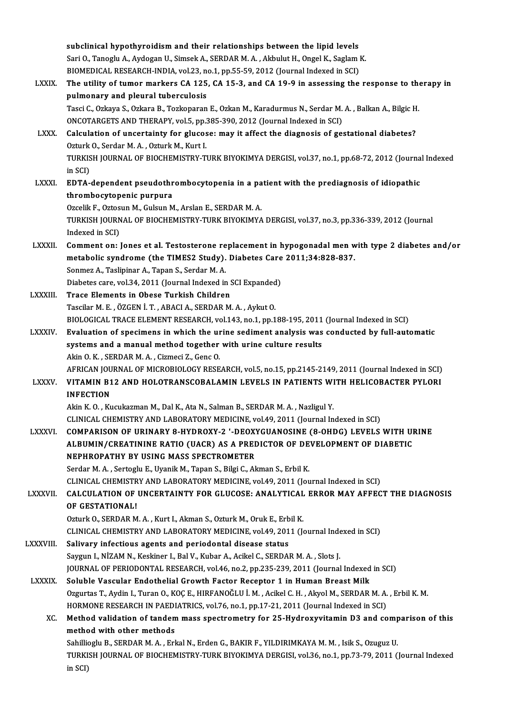|                 | subclinical hypothyroidism and their relationships between the lipid levels                                                                 |
|-----------------|---------------------------------------------------------------------------------------------------------------------------------------------|
|                 | Sari O., Tanoglu A., Aydogan U., Simsek A., SERDAR M. A., Akbulut H., Ongel K., Saglam K.                                                   |
|                 | BIOMEDICAL RESEARCH-INDIA, vol.23, no.1, pp.55-59, 2012 (Journal Indexed in SCI)                                                            |
| <b>LXXIX</b>    | The utility of tumor markers CA 125, CA 15-3, and CA 19-9 in assessing the response to therapy in                                           |
|                 | pulmonary and pleural tuberculosis                                                                                                          |
|                 | Tasci C., Ozkaya S., Ozkara B., Tozkoparan E., Ozkan M., Karadurmus N., Serdar M. A., Balkan A., Bilgic H.                                  |
|                 | ONCOTARGETS AND THERAPY, vol.5, pp.385-390, 2012 (Journal Indexed in SCI)                                                                   |
| LXXX.           | Calculation of uncertainty for glucose: may it affect the diagnosis of gestational diabetes?<br>Ozturk O., Serdar M. A., Ozturk M., Kurt I. |
|                 | TURKISH JOURNAL OF BIOCHEMISTRY-TURK BIYOKIMYA DERGISI, vol.37, no.1, pp.68-72, 2012 (Journal Indexed                                       |
|                 | in SCI)                                                                                                                                     |
| <b>LXXXI</b>    | EDTA-dependent pseudothrombocytopenia in a patient with the prediagnosis of idiopathic                                                      |
|                 | thrombocytopenic purpura                                                                                                                    |
|                 | Ozcelik F., Oztosun M., Gulsun M., Arslan E., SERDAR M. A.                                                                                  |
|                 | TURKISH JOURNAL OF BIOCHEMISTRY-TURK BIYOKIMYA DERGISI, vol.37, no.3, pp.336-339, 2012 (Journal                                             |
|                 | Indexed in SCI)                                                                                                                             |
| <b>LXXXII.</b>  | Comment on: Jones et al. Testosterone replacement in hypogonadal men with type 2 diabetes and/or                                            |
|                 | metabolic syndrome (the TIMES2 Study). Diabetes Care 2011;34:828-837.                                                                       |
|                 | Sonmez A., Taslipinar A., Tapan S., Serdar M. A.                                                                                            |
|                 | Diabetes care, vol.34, 2011 (Journal Indexed in SCI Expanded)                                                                               |
| LXXXIII.        | Trace Elements in Obese Turkish Children                                                                                                    |
|                 | Tascilar M. E., ÖZGEN İ. T., ABACI A., SERDAR M. A., Aykut O.                                                                               |
|                 | BIOLOGICAL TRACE ELEMENT RESEARCH, vol.143, no.1, pp.188-195, 2011 (Journal Indexed in SCI)                                                 |
| <b>LXXXIV</b>   | Evaluation of specimens in which the urine sediment analysis was conducted by full-automatic                                                |
|                 | systems and a manual method together with urine culture results                                                                             |
|                 | Akin O.K., SERDAR M.A., Cizmeci Z., Genc O.                                                                                                 |
|                 | AFRICAN JOURNAL OF MICROBIOLOGY RESEARCH, vol.5, no.15, pp.2145-2149, 2011 (Journal Indexed in SCI)                                         |
| <b>LXXXV.</b>   | VITAMIN B12 AND HOLOTRANSCOBALAMIN LEVELS IN PATIENTS WITH HELICOBACTER PYLORI                                                              |
|                 | <b>INFECTION</b>                                                                                                                            |
|                 | Akin K. O., Kucukazman M., Dal K., Ata N., Salman B., SERDAR M. A., Nazligul Y.                                                             |
|                 | CLINICAL CHEMISTRY AND LABORATORY MEDICINE, vol.49, 2011 (Journal Indexed in SCI)                                                           |
| <b>LXXXVI</b>   | COMPARISON OF URINARY 8-HYDROXY-2 '-DEOXYGUANOSINE (8-OHDG) LEVELS WITH URINE                                                               |
|                 | ALBUMIN/CREATININE RATIO (UACR) AS A PREDICTOR OF DEVELOPMENT OF DIABETIC                                                                   |
|                 | NEPHROPATHY BY USING MASS SPECTROMETER                                                                                                      |
|                 | Serdar M. A., Sertoglu E., Uyanik M., Tapan S., Bilgi C., Akman S., Erbil K.                                                                |
|                 | CLINICAL CHEMISTRY AND LABORATORY MEDICINE, vol.49, 2011 (Journal Indexed in SCI)                                                           |
| <b>LXXXVII.</b> | CALCULATION OF UNCERTAINTY FOR GLUCOSE: ANALYTICAL ERROR MAY AFFECT THE DIAGNOSIS                                                           |
|                 | OF GESTATIONAL!                                                                                                                             |
|                 | Ozturk O., SERDAR M. A., Kurt I., Akman S., Ozturk M., Oruk E., Erbil K.                                                                    |
|                 | CLINICAL CHEMISTRY AND LABORATORY MEDICINE, vol.49, 2011 (Journal Indexed in SCI)                                                           |
| <b>LXXXVIII</b> | Salivary infectious agents and periodontal disease status                                                                                   |
|                 | Saygun I., NİZAM N., Keskiner I., Bal V., Kubar A., Acikel C., SERDAR M. A., Slots J.                                                       |
|                 | JOURNAL OF PERIODONTAL RESEARCH, vol.46, no.2, pp.235-239, 2011 (Journal Indexed in SCI)                                                    |
| <b>LXXXIX</b>   | Soluble Vascular Endothelial Growth Factor Receptor 1 in Human Breast Milk                                                                  |
|                 | Ozgurtas T., Aydin I., Turan O., KOÇ E., HIRFANOĞLU İ. M., Acikel C. H., Akyol M., SERDAR M. A., Erbil K. M.                                |
|                 | HORMONE RESEARCH IN PAEDIATRICS, vol.76, no.1, pp.17-21, 2011 (Journal Indexed in SCI)                                                      |
| XC.             | Method validation of tandem mass spectrometry for 25-Hydroxyvitamin D3 and comparison of this                                               |
|                 | method with other methods                                                                                                                   |
|                 | Sahillioglu B., SERDAR M. A., Erkal N., Erden G., BAKIR F., YILDIRIMKAYA M. M., Isik S., Ozuguz U.                                          |
|                 | TURKISH JOURNAL OF BIOCHEMISTRY-TURK BIYOKIMYA DERGISI, vol.36, no.1, pp.73-79, 2011 (Journal Indexed                                       |
|                 | in SCI)                                                                                                                                     |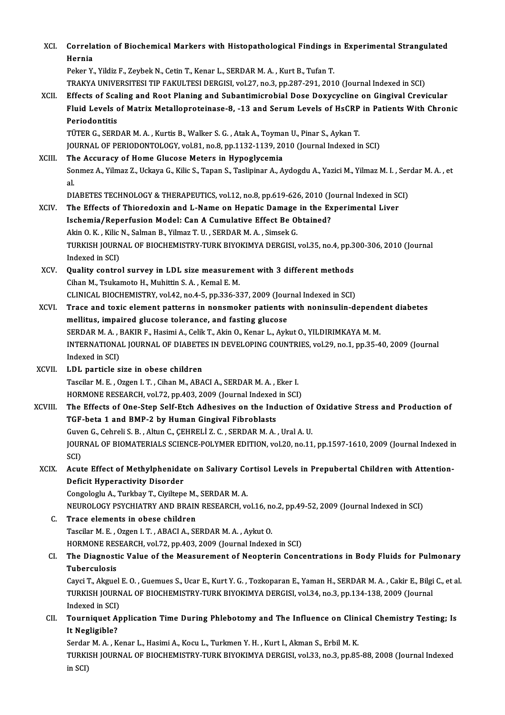| XCI.    | Correlation of Biochemical Markers with Histopathological Findings in Experimental Strangulated<br>Hernia                                                                                                                     |
|---------|-------------------------------------------------------------------------------------------------------------------------------------------------------------------------------------------------------------------------------|
|         | Peker Y., Yildiz F., Zeybek N., Cetin T., Kenar L., SERDAR M. A., Kurt B., Tufan T.                                                                                                                                           |
|         | TRAKYA UNIVERSITESI TIP FAKULTESI DERGISI, vol.27, no.3, pp.287-291, 2010 (Journal Indexed in SCI)                                                                                                                            |
| XCII.   | Effects of Scaling and Root Planing and Subantimicrobial Dose Doxycycline on Gingival Crevicular                                                                                                                              |
|         | Fluid Levels of Matrix Metalloproteinase-8, -13 and Serum Levels of HsCRP in Patients With Chronic<br>Periodontitis                                                                                                           |
|         | TÜTER G., SERDAR M. A., Kurtis B., Walker S. G., Atak A., Toyman U., Pinar S., Aykan T.                                                                                                                                       |
|         | JOURNAL OF PERIODONTOLOGY, vol.81, no.8, pp.1132-1139, 2010 (Journal Indexed in SCI)                                                                                                                                          |
| XCIII.  | The Accuracy of Home Glucose Meters in Hypoglycemia                                                                                                                                                                           |
|         | Sonmez A., Yilmaz Z., Uckaya G., Kilic S., Tapan S., Taslipinar A., Aydogdu A., Yazici M., Yilmaz M. I., Serdar M. A., et<br>al.                                                                                              |
|         | DIABETES TECHNOLOGY & THERAPEUTICS, vol.12, no.8, pp.619-626, 2010 (Journal Indexed in SCI)                                                                                                                                   |
| XCIV.   | The Effects of Thioredoxin and L-Name on Hepatic Damage in the Experimental Liver                                                                                                                                             |
|         | Ischemia/Reperfusion Model: Can A Cumulative Effect Be Obtained?                                                                                                                                                              |
|         | Akin O. K., Kilic N., Salman B., Yilmaz T. U., SERDAR M. A., Simsek G.                                                                                                                                                        |
|         | TURKISH JOURNAL OF BIOCHEMISTRY-TURK BIYOKIMYA DERGISI, vol.35, no.4, pp.300-306, 2010 (Journal<br>Indexed in SCI)                                                                                                            |
| XCV.    | Quality control survey in LDL size measurement with 3 different methods                                                                                                                                                       |
|         | Cihan M., Tsukamoto H., Muhittin S.A., Kemal E.M.                                                                                                                                                                             |
|         | CLINICAL BIOCHEMISTRY, vol.42, no.4-5, pp.336-337, 2009 (Journal Indexed in SCI)                                                                                                                                              |
| XCVI.   | Trace and toxic element patterns in nonsmoker patients with noninsulin-dependent diabetes                                                                                                                                     |
|         | mellitus, impaired glucose tolerance, and fasting glucose                                                                                                                                                                     |
|         | SERDAR M. A., BAKIR F., Hasimi A., Celik T., Akin O., Kenar L., Aykut O., YILDIRIMKAYA M. M.                                                                                                                                  |
|         | INTERNATIONAL JOURNAL OF DIABETES IN DEVELOPING COUNTRIES, vol.29, no.1, pp.35-40, 2009 (Journal                                                                                                                              |
|         | Indexed in SCI)                                                                                                                                                                                                               |
| XCVII.  | LDL particle size in obese children                                                                                                                                                                                           |
|         | Tascilar M. E., Ozgen I. T., Cihan M., ABACI A., SERDAR M. A., Eker I.                                                                                                                                                        |
|         | HORMONE RESEARCH, vol.72, pp.403, 2009 (Journal Indexed in SCI)                                                                                                                                                               |
| XCVIII. | The Effects of One-Step Self-Etch Adhesives on the Induction of Oxidative Stress and Production of<br>TGF-beta 1 and BMP-2 by Human Gingival Fibroblasts                                                                      |
|         | Guven G., Cehreli S. B., Altun C., ÇEHRELİ Z. C., SERDAR M. A., Ural A. U.                                                                                                                                                    |
|         | JOURNAL OF BIOMATERIALS SCIENCE-POLYMER EDITION, vol.20, no.11, pp.1597-1610, 2009 (Journal Indexed in                                                                                                                        |
|         | SCI)                                                                                                                                                                                                                          |
| XCIX.   | Acute Effect of Methylphenidate on Salivary Cortisol Levels in Prepubertal Children with Attention-                                                                                                                           |
|         | <b>Deficit Hyperactivity Disorder</b>                                                                                                                                                                                         |
|         | Congologlu A., Turkbay T., Ciyiltepe M., SERDAR M. A.                                                                                                                                                                         |
|         | NEUROLOGY PSYCHIATRY AND BRAIN RESEARCH, vol.16, no.2, pp.49-52, 2009 (Journal Indexed in SCI)                                                                                                                                |
| C.      | Trace elements in obese children                                                                                                                                                                                              |
|         | Tascilar M. E., Ozgen I. T., ABACI A., SERDAR M. A., Aykut O.                                                                                                                                                                 |
|         | HORMONE RESEARCH, vol.72, pp.403, 2009 (Journal Indexed in SCI)                                                                                                                                                               |
| CI.     | The Diagnostic Value of the Measurement of Neopterin Concentrations in Body Fluids for Pulmonary                                                                                                                              |
|         | Tuberculosis                                                                                                                                                                                                                  |
|         | Cayci T., Akguel E. O., Guemues S., Ucar E., Kurt Y. G., Tozkoparan E., Yaman H., SERDAR M. A., Cakir E., Bilgi C., et al.<br>TURKISH JOURNAL OF BIOCHEMISTRY-TURK BIYOKIMYA DERGISI, vol.34, no.3, pp.134-138, 2009 (Journal |
|         | Indexed in SCI)                                                                                                                                                                                                               |
| CII.    | Tourniquet Application Time During Phlebotomy and The Influence on Clinical Chemistry Testing; Is                                                                                                                             |
|         | It Negligible?                                                                                                                                                                                                                |
|         | Serdar M. A., Kenar L., Hasimi A., Kocu L., Turkmen Y. H., Kurt I., Akman S., Erbil M. K.<br>TURKISH JOURNAL OF BIOCHEMISTRY-TURK BIYOKIMYA DERGISI, vol.33, no.3, pp.85-88, 2008 (Journal Indexed<br>in SCI)                 |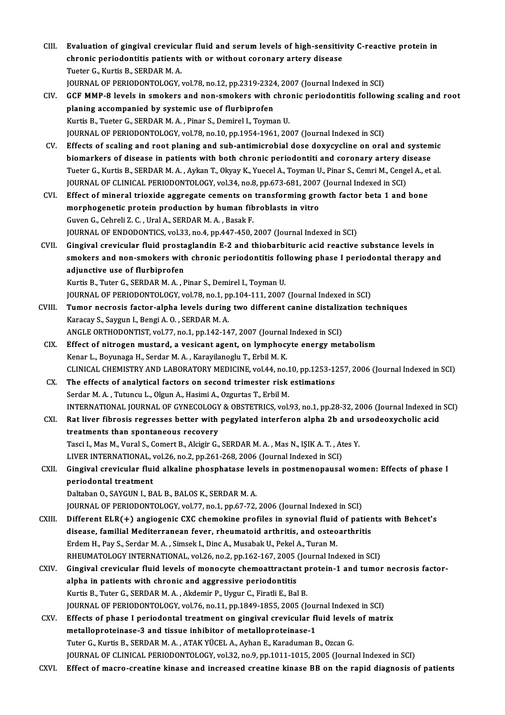- CIII. Evaluation of gingival crevicular fluid and serum levels of high-sensitivity C-reactive protein in<br>chronic poriodontitic patients with or without coronory anteny disease. Evaluation of gingival crevicular fluid and serum levels of high-sensitiv<br>chronic periodontitis patients with or without coronary artery disease<br>Tuster C. Kurtis B. SERDAR M.A. Evaluation of gingival crevicu<br>chronic periodontitis patients<br>Tueter G., Kurtis B., SERDAR M. A.<br>JOUPMAL OF PERJODONTOLOCY chronic periodontitis patients with or without coronary artery disease<br>Tueter G., Kurtis B., SERDAR M. A.<br>JOURNAL OF PERIODONTOLOGY, vol.78, no.12, pp.2319-2324, 2007 (Journal Indexed in SCI)<br>CCE MMP 8 lavels in smokers an
- Tueter G., Kurtis B., SERDAR M. A.<br>JOURNAL OF PERIODONTOLOGY, vol.78, no.12, pp.2319-2324, 2007 (Journal Indexed in SCI)<br>CIV. GCF MMP-8 levels in smokers and non-smokers with chronic periodontitis following scaling and roo JOURNAL OF PERIODONTOLOGY, vol.78, no.12, pp.2319-2324<br>GCF MMP-8 levels in smokers and non-smokers with companied by systemic use of flurbiprofen<br>Kurtis B. Tuster G. SERDAR M.A., Binar S. Demirel L. Teuma Kurtis B., Tueter G., SERDAR M. A., Pinar S., Demirel I., Toyman U. JOURNALOF PERIODONTOLOGY,vol.78,no.10,pp.1954-1961,2007 (Journal Indexed inSCI)
- CV. Effects of scaling and root planing and sub-antimicrobial dose doxycycline on oral and systemic JOURNAL OF PERIODONTOLOGY, vol.78, no.10, pp.1954-1961, 2007 (Journal Indexed in SCI)<br>Effects of scaling and root planing and sub-antimicrobial dose doxycycline on oral and system<br>biomarkers of disease in patients with bot Effects of scaling and root planing and sub-antimicrobial dose doxycycline on oral and systemic<br>biomarkers of disease in patients with both chronic periodontiti and coronary artery disease<br>Tueter G., Kurtis B., SERDAR M. A biomarkers of disease in patients with both chronic periodontiti and coronary artery di<br>Tueter G., Kurtis B., SERDAR M. A. , Aykan T., Okyay K., Yuecel A., Toyman U., Pinar S., Cemri M., Cengo<br>JOURNAL OF CLINICAL PERIODONT Tueter G., Kurtis B., SERDAR M. A. , Aykan T., Okyay K., Yuecel A., Toyman U., Pinar S., Cemri M., Cengel A., et al.<br>JOURNAL OF CLINICAL PERIODONTOLOGY, vol.34, no.8, pp.673-681, 2007 (Journal Indexed in SCI)<br>CVI. Effect o
- JOURNAL OF CLINICAL PERIODONTOLOGY, vol.34, no.8, pp.673-681, 2007<br>Effect of mineral trioxide aggregate cements on transforming gro<br>morphogenetic protein production by human fibroblasts in vitro<br>Cuver C. Cebreli 7. C. Ural Effect of mineral trioxide aggregate cements on<br>morphogenetic protein production by human fib<br>Guven G., Cehreli Z. C. , Ural A., SERDAR M. A. , Basak F.<br>JOUPMAL OF ENDODONTICS vol 22, no 4, nn 447,450. Guven G., Cehreli Z. C. , Ural A., SERDAR M. A. , Basak F.<br>JOURNAL OF ENDODONTICS, vol.33, no.4, pp.447-450, 2007 (Journal Indexed in SCI)
- CVII. Gingival crevicular fluid prostaglandin E-2 and thiobarbituric acid reactive substance levels in JOURNAL OF ENDODONTICS, vol.33, no.4, pp.447-450, 2007 (Journal Indexed in SCI)<br>Gingival crevicular fluid prostaglandin E-2 and thiobarbituric acid reactive substance levels in<br>smokers and non-smokers with chronic periodon Gingival crevicular fluid prosta<br>smokers and non-smokers with<br>adjunctive use of flurbiprofen<br><sup>Vuntio P. Tutor G. SEPDAR M.A.</sup> L smokers and non-smokers with chronic periodontitis fol<br>adjunctive use of flurbiprofen<br>Kurtis B., Tuter G., SERDAR M. A. , Pinar S., Demirel I., Toyman U.<br>JOUPMAL OF PERJODONTOLOGY vol.79, no.1, np.104,111, 2007. adjunctive use of flurbiprofen<br>Kurtis B., Tuter G., SERDAR M. A. , Pinar S., Demirel I., Toyman U.<br>JOURNAL OF PERIODONTOLOGY, vol.78, no.1, pp.104-111, 2007 (Journal Indexed in SCI)

CVIII. Tumor necrosis factor-alpha levels during two different canine distalization techniques Karacay S., Saygun I., Bengi A.O., SERDAR M.A. Tumor necrosis factor-alpha levels during two different canine distalize<br>Karacay S., Saygun I., Bengi A. O. , SERDAR M. A.<br>ANGLE ORTHODONTIST, vol.77, no.1, pp.142-147, 2007 (Journal Indexed in SCI)<br>Effect of nitrogon must

- CIX. Effect of nitrogen mustard, a vesicant agent, on lymphocyte energy metabolism<br>Kenar L., Boyunaga H., Serdar M. A., Karayilanoglu T., Erbil M. K. ANGLE ORTHODONTIST, vol.77, no.1, pp.142-147, 2007 (Journal<br>Effect of nitrogen mustard, a vesicant agent, on lymphocy<br>Kenar L., Boyunaga H., Serdar M. A. , Karayilanoglu T., Erbil M. K.<br>CLINICAL CHEMISTRY AND LABORATORY ME CLINICAL CHEMISTRYANDLABORATORYMEDICINE,vol.44,no.10,pp.1253-1257,2006 (Journal Indexed inSCI)
- CX. The effects of analytical factors on second trimester risk estimations Serdar M. A., Tutuncu L., Olgun A., Hasimi A., Ozgurtas T., Erbil M. The effects of analytical factors on second trimester risk estimations<br>Serdar M. A. , Tutuncu L., Olgun A., Hasimi A., Ozgurtas T., Erbil M.<br>INTERNATIONAL JOURNAL OF GYNECOLOGY & OBSTETRICS, vol.93, no.1, pp.28-32, 2006 (J
- CXI. Rat liver fibrosis regresses better with pegylated interferon alpha 2b and ursodeoxycholic acid INTERNATIONAL JOURNAL OF GYNECOLOGY<br>Rat liver fibrosis regresses better with<br>treatments than spontaneous recovery<br>Tessi L Mes M Vural S. Coment B. Alsisin C. Rat liver fibrosis regresses better with pegylated interferon alpha 2b and u<br>treatments than spontaneous recovery<br>Tasci I., Mas M., Vural S., Comert B., Alcigir G., SERDAR M. A. , Mas N., IŞIK A. T. , Ates Y.<br>UVER INTERNAT treatments than spontaneous recovery<br>Tasci I., Mas M., Vural S., Comert B., Alcigir G., SERDAR M. A. , Mas N., IŞIK A. T. , At<br>LIVER INTERNATIONAL, vol.26, no.2, pp.261-268, 2006 (Journal Indexed in SCI)<br>Cingival apovisula

Tasci I., Mas M., Vural S., Comert B., Alcigir G., SERDAR M. A. , Mas N., IŞIK A. T. , Ates Y.<br>LIVER INTERNATIONAL, vol.26, no.2, pp.261-268, 2006 (Journal Indexed in SCI)<br>CXII. Gingival crevicular fluid alkaline phosp LIVER INTERNATIONAL, vol.26, no.2, pp.261-268, 2006 (Journal Indexed in SCI)<br>Gingival crevicular fluid alkaline phosphatase levels in postmenopausa<br>periodontal treatment<br>Daltaban O., SAYGUN I., BAL B., BALOS K., SERDAR M. Gingival crevicular fluid alkaline phosphatase lev<br>periodontal treatment<br>Daltaban O., SAYGUN I., BAL B., BALOS K., SERDAR M. A.<br>JOUPMAL OF PERJODONTOLOGY Vol 77, no 1, np 67, 72.

periodontal treatment<br>Daltaban O., SAYGUN I., BAL B., BALOS K., SERDAR M. A.<br>JOURNAL OF PERIODONTOLOGY, vol.77, no.1, pp.67-72, 2006 (Journal Indexed in SCI)<br>Different ELB(+), angiogenis CYC shamekine prefiles in synevial

- CXIII. Different  $ELR(+)$  angiogenic CXC chemokine profiles in synovial fluid of patients with Behcet's<br>disease, familial Mediterranean fever, rheumatoid arthritis, and osteoarthritis JOURNAL OF PERIODONTOLOGY, vol.77, no.1, pp.67-72, 2006 (Journal Indexed in SCI)<br>Different ELR(+) angiogenic CXC chemokine profiles in synovial fluid of patier<br>disease, familial Mediterranean fever, rheumatoid arthritis, a Erdem H., Pay S., Serdar M. A., Simsek I., Dinc A., Musabak U., Pekel A., Turan M. disease, familial Mediterranean fever, rheumatoid arthritis, and osteoarthritis<br>Erdem H., Pay S., Serdar M. A. , Simsek I., Dinc A., Musabak U., Pekel A., Turan M.<br>RHEUMATOLOGY INTERNATIONAL, vol.26, no.2, pp.162-167, 2005 Erdem H., Pay S., Serdar M. A. , Simsek I., Dinc A., Musabak U., Pekel A., Turan M.<br>RHEUMATOLOGY INTERNATIONAL, vol.26, no.2, pp.162-167, 2005 (Journal Indexed in SCI)<br>CXIV. Gingival crevicular fluid levels of monocyte che
- RHEUMATOLOGY INTERNATIONAL, vol.26, no.2, pp.162-167, 2005<br>Gingival crevicular fluid levels of monocyte chemoattractan<br>alpha in patients with chronic and aggressive periodontitis<br>Kurtis B. Tutor G. SERDAR M.A., Akdomir B. Gingival crevicular fluid levels of monocyte chemoattractant p<br>alpha in patients with chronic and aggressive periodontitis<br>Kurtis B., Tuter G., SERDAR M. A. , Akdemir P., Uygur C., Firatli E., Bal B.<br>JOUPMAL OF PERJODONTOL alpha in patients with chronic and aggressive periodontitis<br>Kurtis B., Tuter G., SERDAR M. A. , Akdemir P., Uygur C., Firatli E., Bal B.<br>JOURNAL OF PERIODONTOLOGY, vol.76, no.11, pp.1849-1855, 2005 (Journal Indexed in SCI) Kurtis B., Tuter G., SERDAR M. A., Akdemir P., Uygur C., Firatli E., Bal B.<br>JOURNAL OF PERIODONTOLOGY, vol.76, no.11, pp.1849-1855, 2005 (Journal Indexed in SCI)<br>CXV. Effects of phase I periodontal treatment on gingival cr
- JOURNAL OF PERIODONTOLOGY, vol.76, no.11, pp.1849-1855, 2005 (Journal Effects of phase I periodontal treatment on gingival crevicular flametalloproteinase-3 and tissue inhibitor of metalloproteinase-1<br>Tutor C. Kurtie B. SE CXV. Effects of phase I periodontal treatment on gingival crevicular fluid levels of matrix<br>metalloproteinase-3 and tissue inhibitor of metalloproteinase-1<br>Tuter G., Kurtis B., SERDAR M. A., ATAK YÜCEL A., Ayhan E., Karadu JOURNAL OF CLINICAL PERIODONTOLOGY, vol.32, no.9, pp.1011-1015, 2005 (Journal Indexed in SCI)
- CXVI. Effect of macro-creatine kinase and increased creatine kinase BB on the rapid diagnosis of patients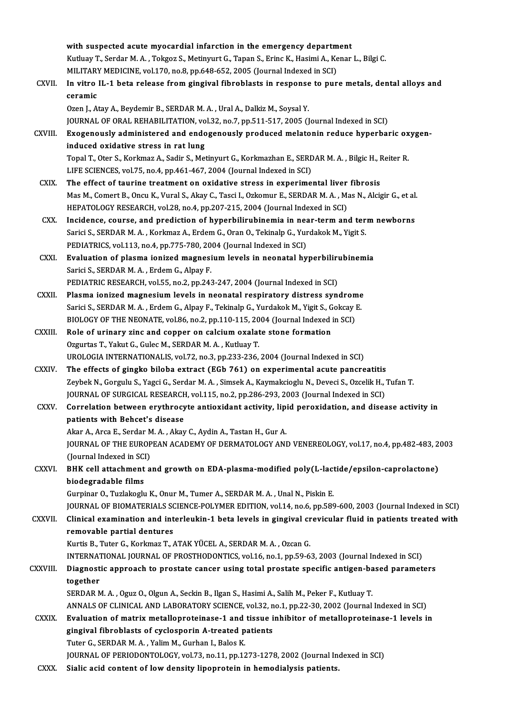with suspected acute myocardial infarction in the emergency department With suspected acute myocardial infarction in the emergency department<br>Kutluay T., Serdar M. A. , Tokgoz S., Metinyurt G., Tapan S., Erinc K., Hasimi A., Kenar L., Bilgi C.<br>MU ITARY MEDICINE yol 170, no 8, nn 648,652,2005 with suspected acute myocardial infarction in the emergency departm<br>Kutluay T., Serdar M. A. , Tokgoz S., Metinyurt G., Tapan S., Erinc K., Hasimi A., Ke<br>MILITARY MEDICINE, vol.170, no.8, pp.648-652, 2005 (Journal Indexed Kutluay T., Serdar M. A. , Tokgoz S., Metinyurt G., Tapan S., Erinc K., Hasimi A., Kenar L., Bilgi C.<br>MILITARY MEDICINE, vol.170, no.8, pp.648-652, 2005 (Journal Indexed in SCI)<br>CXVII. In vitro IL-1 beta release from gingi MILITARY MEDICINE, vol.170, no.8, pp.648-652, 2005 (Journal Indexed in SCI)

| CXVII.        | In vitro IL-1 beta release from gingival fibroblasts in response to pure metals, dental alloys and            |
|---------------|---------------------------------------------------------------------------------------------------------------|
|               | ceramic                                                                                                       |
|               | Ozen J., Atay A., Beydemir B., SERDAR M. A., Ural A., Dalkiz M., Soysal Y.                                    |
|               | JOURNAL OF ORAL REHABILITATION, vol.32, no.7, pp.511-517, 2005 (Journal Indexed in SCI)                       |
| CXVIII.       | Exogenously administered and endogenously produced melatonin reduce hyperbaric oxygen-                        |
|               | induced oxidative stress in rat lung                                                                          |
|               | Topal T., Oter S., Korkmaz A., Sadir S., Metinyurt G., Korkmazhan E., SERDAR M. A., Bilgic H., Reiter R.      |
|               | LIFE SCIENCES, vol.75, no.4, pp.461-467, 2004 (Journal Indexed in SCI)                                        |
| <b>CXIX</b>   | The effect of taurine treatment on oxidative stress in experimental liver fibrosis                            |
|               | Mas M., Comert B., Oncu K., Vural S., Akay C., Tasci I., Ozkomur E., SERDAR M. A., Mas N., Alcigir G., et al. |
|               | HEPATOLOGY RESEARCH, vol.28, no.4, pp.207-215, 2004 (Journal Indexed in SCI)                                  |
| CXX.          | Incidence, course, and prediction of hyperbilirubinemia in near-term and term newborns                        |
|               | Sarici S., SERDAR M. A., Korkmaz A., Erdem G., Oran O., Tekinalp G., Yurdakok M., Yigit S.                    |
|               | PEDIATRICS, vol.113, no.4, pp.775-780, 2004 (Journal Indexed in SCI)                                          |
| CXXI.         | Evaluation of plasma ionized magnesium levels in neonatal hyperbilirubinemia                                  |
|               | Sarici S., SERDAR M. A., Erdem G., Alpay F.                                                                   |
|               | PEDIATRIC RESEARCH, vol.55, no.2, pp.243-247, 2004 (Journal Indexed in SCI)                                   |
| <b>CXXII</b>  | Plasma ionized magnesium levels in neonatal respiratory distress syndrome                                     |
|               | Sarici S., SERDAR M. A., Erdem G., Alpay F., Tekinalp G., Yurdakok M., Yigit S., Gokcay E.                    |
|               | BIOLOGY OF THE NEONATE, vol.86, no.2, pp.110-115, 2004 (Journal Indexed in SCI)                               |
| <b>CXXIII</b> | Role of urinary zinc and copper on calcium oxalate stone formation                                            |
|               | Ozgurtas T., Yakut G., Gulec M., SERDAR M. A., Kutluay T.                                                     |
|               | UROLOGIA INTERNATIONALIS, vol.72, no.3, pp.233-236, 2004 (Journal Indexed in SCI)                             |
| <b>CXXIV</b>  | The effects of gingko biloba extract (EGb 761) on experimental acute pancreatitis                             |
|               | Zeybek N., Gorgulu S., Yagci G., Serdar M. A., Simsek A., Kaymakcioglu N., Deveci S., Ozcelik H., Tufan T.    |
|               | JOURNAL OF SURGICAL RESEARCH, vol.115, no.2, pp.286-293, 2003 (Journal Indexed in SCI)                        |
| <b>CXXV</b>   | Correlation between erythrocyte antioxidant activity, lipid peroxidation, and disease activity in             |
|               | patients with Behcet's disease                                                                                |
|               | Akar A., Arca E., Serdar M. A., Akay C., Aydin A., Tastan H., Gur A.                                          |
|               | JOURNAL OF THE EUROPEAN ACADEMY OF DERMATOLOGY AND VENEREOLOGY, vol.17, no.4, pp.482-483, 2003                |
|               | (Journal Indexed in SCI)                                                                                      |
| CXXVI.        | BHK cell attachment and growth on EDA-plasma-modified poly(L-lactide/epsilon-caprolactone)                    |
|               | biodegradable films                                                                                           |
|               | Gurpinar O., Tuzlakoglu K., Onur M., Tumer A., SERDAR M. A., Unal N., Piskin E.                               |
|               | JOURNAL OF BIOMATERIALS SCIENCE-POLYMER EDITION, vol.14, no.6, pp.589-600, 2003 (Journal Indexed in SCI)      |
| CXXVII.       | Clinical examination and interleukin-1 beta levels in gingival crevicular fluid in patients treated with      |
|               | removable partial dentures                                                                                    |
|               | Kurtis B., Tuter G., Korkmaz T., ATAK YÜCEL A., SERDAR M. A., Ozcan G.                                        |
|               | INTERNATIONAL JOURNAL OF PROSTHODONTICS, vol.16, no.1, pp.59-63, 2003 (Journal Indexed in SCI)                |
| CXXVIII.      | Diagnostic approach to prostate cancer using total prostate specific antigen-based parameters                 |
|               | together                                                                                                      |
|               | SERDAR M. A., Oguz O., Olgun A., Seckin B., Ilgan S., Hasimi A., Salih M., Peker F., Kutluay T.               |
|               | ANNALS OF CLINICAL AND LABORATORY SCIENCE, vol.32, no.1, pp.22-30, 2002 (Journal Indexed in SCI)              |
| CXXIX.        | Evaluation of matrix metalloproteinase-1 and tissue inhibitor of metalloproteinase-1 levels in                |
|               | gingival fibroblasts of cyclosporin A-treated patients                                                        |
|               | Tuter G., SERDAR M. A., Yalim M., Gurhan I., Balos K.                                                         |
|               | JOURNAL OF PERIODONTOLOGY, vol.73, no.11, pp.1273-1278, 2002 (Journal Indexed in SCI)                         |
| CXXX.         | Sialic acid content of low density lipoprotein in hemodialysis patients.                                      |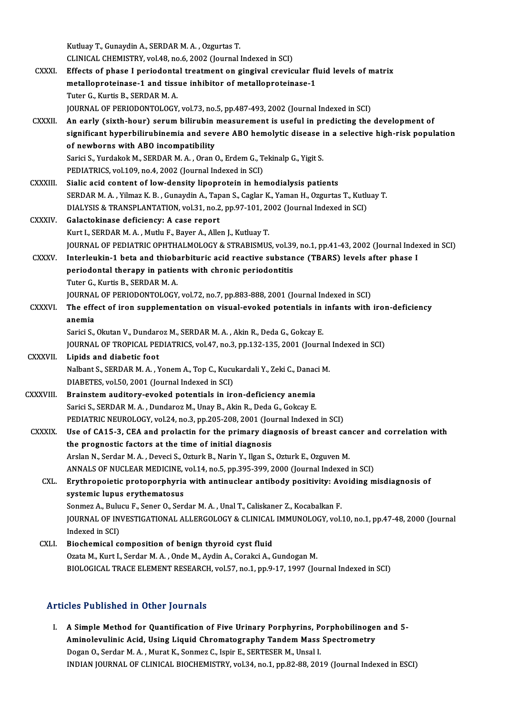KutluayT.,GunaydinA.,SERDARM.A. ,OzgurtasT. CLINICAL CHEMISTRY, vol.48, no.6, 2002 (Journal Indexed in SCI) CXXXI. Effects of phase I periodontal treatment on gingival crevicular fluid levels of matrix CLINICAL CHEMISTRY, vol.48, no.6, 2002 (Journal Indexed in SCI)<br>Effects of phase I periodontal treatment on gingival crevicular fl<br>metalloproteinase-1 and tissue inhibitor of metalloproteinase-1<br>Tuter C. Kurtie B. SERDAR M Effects of phase I periodonta<br>metalloproteinase-1 and tiss<br>Tuter G., Kurtis B., SERDAR M. A.<br>JOUPMAL OF PERJODONTOLOCY Tuter G., Kurtis B., SERDAR M. A.<br>JOURNAL OF PERIODONTOLOGY, vol.73, no.5, pp.487-493, 2002 (Journal Indexed in SCI) Tuter G., Kurtis B., SERDAR M. A.<br>JOURNAL OF PERIODONTOLOGY, vol.73, no.5, pp.487-493, 2002 (Journal Indexed in SCI)<br>CXXXII. An early (sixth-hour) serum bilirubin measurement is useful in predicting the development of<br>sign JOURNAL OF PERIODONTOLOGY, vol.73, no.5, pp.487-493, 2002 (Journal Indexed in SCI)<br>An early (sixth-hour) serum bilirubin measurement is useful in predicting the development of<br>significant hyperbilirubinemia and severe ABO An early (sixth-hour) serum bilirubin<br>significant hyperbilirubinemia and sev<br>of newborns with ABO incompatibility<br>Sarisi S. Yurdakak M. SEPDAP M.A. Oran ( significant hyperbilirubinemia and severe ABO hemolytic disease i<br>of newborns with ABO incompatibility<br>Sarici S., Yurdakok M., SERDAR M. A. , Oran O., Erdem G., Tekinalp G., Yigit S.<br>PEDIATRICS vol.100 no.4, 2002 (Journal of newborns with ABO incompatibility<br>Sarici S., Yurdakok M., SERDAR M. A. , Oran O., Erdem G., T.<br>PEDIATRICS, vol.109, no.4, 2002 (Journal Indexed in SCI)<br>Sialia agid contant of low dongity linearnatein in bes Sarici S., Yurdakok M., SERDAR M. A., Oran O., Erdem G., Tekinalp G., Yigit S.<br>PEDIATRICS, vol.109, no.4, 2002 (Journal Indexed in SCI)<br>CXXXIII. Sialic acid content of low-density lipoprotein in hemodialysis patients<br>SERDA PEDIATRICS, vol.109, no.4, 2002 (Journal Indexed in SCI)<br>Sialic acid content of low-density lipoprotein in hemodialysis patients<br>SERDAR M. A. , Yilmaz K. B. , Gunaydin A., Tapan S., Caglar K., Yaman H., Ozgurtas T., Kutlua Sialic acid content of low-density lipoprotein in hemodialysis patients<br>SERDAR M. A. , Yilmaz K. B. , Gunaydin A., Tapan S., Caglar K., Yaman H., Ozgurtas T., Kutlu<br>DIALYSIS & TRANSPLANTATION, vol.31, no.2, pp.97-101, 2002 CXXXIV. Galactokinase deficiency: A case report DIALYSIS & TRANSPLANTATION, vol.31, no.2, pp.97-101, 20<br>Galactokinase deficiency: A case report<br>Kurt I., SERDAR M. A. , Mutlu F., Bayer A., Allen J., Kutluay T.<br>JOUPMAL OF PEDIATRIC OPHTHALMOLOCY & STRAPISMUS Galactokinase deficiency: A case report<br>Kurt I., SERDAR M. A. , Mutlu F., Bayer A., Allen J., Kutluay T.<br>JOURNAL OF PEDIATRIC OPHTHALMOLOGY & STRABISMUS, vol.39, no.1, pp.41-43, 2002 (Journal Indexed in SCI)<br>Interlevkin 1, CXXXV. Interleukin-1 beta and thiobarbituric acid reactive substance (TBARS) levels after phase I JOURNAL OF PEDIATRIC OPHTHALMOLOGY & STRABISMUS, vol.39<br>Interleukin-1 beta and thiobarbituric acid reactive substan<br>periodontal therapy in patients with chronic periodontitis<br>Tuter C. Kurtie B. SERDAR M.A. Tuter G., Kurtis B., SERDAR M. A. periodontal therapy in patients with chronic periodontitis<br>Tuter G., Kurtis B., SERDAR M. A.<br>JOURNAL OF PERIODONTOLOGY, vol.72, no.7, pp.883-888, 2001 (Journal Indexed in SCI)<br>The effect of iron sunnlementation on visual e Tuter G., Kurtis B., SERDAR M. A.<br>JOURNAL OF PERIODONTOLOGY, vol.72, no.7, pp.883-888, 2001 (Journal Indexed in SCI)<br>CXXXVI. The effect of iron supplementation on visual-evoked potentials in infants with iron-deficiency JOURNA<br>The effe<br>anemia<br>Sarici S The effect of iron supplementation on visual-evoked potentials in<br>anemia<br>Sarici S., Okutan V., Dundaroz M., SERDAR M. A. , Akin R., Deda G., Gokcay E.<br>JOUPMAL OF TROPICAL PEDIATRICS, vol.47, no.3, nn.132,135, 2001 (Journ anemia<br>Sarici S., Okutan V., Dundaroz M., SERDAR M. A. , Akin R., Deda G., Gokcay E.<br>JOURNAL OF TROPICAL PEDIATRICS, vol.47, no.3, pp.132-135, 2001 (Journal Indexed in SCI)<br>Linids and diabetis foot Sarici S., Okutan V., Dundar<br>JOURNAL OF TROPICAL PE<br>CXXXVII. Lipids and diabetic foot JOURNAL OF TROPICAL PEDIATRICS, vol.47, no.3, pp.132-135, 2001 (Journal<br>Lipids and diabetic foot<br>Nalbant S., SERDAR M. A. , Yonem A., Top C., Kucukardali Y., Zeki C., Danaci M.<br>DIABETES. vol.50, 2001 (Journal Indoved in SC Lipids and diabetic foot<br>Nalbant S., SERDAR M. A. , Yonem A., Top C., Kucukardali Y., Zeki C., Danaci M.<br>DIABETES, vol.50, 2001 (Journal Indexed in SCI) Nalbant S., SERDAR M. A., Yonem A., Top C., Kucukardali Y., Zeki C., Danac<br>DIABETES, vol.50, 2001 (Journal Indexed in SCI)<br>CXXXVIII. Brainstem auditory-evoked potentials in iron-deficiency anemia<br>Sorici S. SERDAR M. A., Du DIABETES, vol.50, 2001 (Journal Indexed in SCI)<br>Brainstem auditory-evoked potentials in iron-deficiency anemia<br>Sarici S., SERDAR M. A. , Dundaroz M., Unay B., Akin R., Deda G., Gokcay E.<br>REDIATRIC NEUROLOCY, vol.24, no.2, Brainstem auditory-evoked potentials in iron-deficiency anemia<br>Sarici S., SERDAR M. A. , Dundaroz M., Unay B., Akin R., Deda G., Gokcay E.<br>PEDIATRIC NEUROLOGY, vol.24, no.3, pp.205-208, 2001 (Journal Indexed in SCI)<br>Hee of Sarici S., SERDAR M. A., Dundaroz M., Unay B., Akin R., Deda G., Gokcay E.<br>PEDIATRIC NEUROLOGY, vol.24, no.3, pp.205-208, 2001 (Journal Indexed in SCI)<br>CXXXIX. Use of CA15-3, CEA and prolactin for the primary diagnosis of PEDIATRIC NEUROLOGY, vol.24, no.3, pp.205-208, 2001 (Journal Use of CA15-3, CEA and prolactin for the primary dia<br>the prognostic factors at the time of initial diagnosis<br>Arelan N. Sardar M.A., Davasi S. Orturk B. Narin Y. Use of CA15-3, CEA and prolactin for the primary diagnosis of breast can<br>the prognostic factors at the time of initial diagnosis<br>Arslan N., Serdar M. A., Deveci S., Ozturk B., Narin Y., Ilgan S., Ozturk E., Ozguven M.<br>ANNA the prognostic factors at the time of initial diagnosis<br>Arslan N., Serdar M. A. , Deveci S., Ozturk B., Narin Y., Ilgan S., Ozturk E., Ozguven M.<br>ANNALS OF NUCLEAR MEDICINE, vol.14, no.5, pp.395-399, 2000 (Journal Indexed Arslan N., Serdar M. A. , Deveci S., Ozturk B., Narin Y., Ilgan S., Ozturk E., Ozguven M.<br>ANNALS OF NUCLEAR MEDICINE, vol.14, no.5, pp.395-399, 2000 (Journal Indexed in SCI)<br>CXL. Erythropoietic protoporphyria with antinucl ANNALS OF NUCLEAR MEDICINE,<br>Erythropoietic protoporphyria<br>systemic lupus erythematosus<br>Sonmez A. Bulueu E. Sener O. Ser Erythropoietic protoporphyria with antinuclear antibody positivity: Av<br>systemic lupus erythematosus<br>Sonmez A., Bulucu F., Sener O., Serdar M. A. , Unal T., Caliskaner Z., Kocabalkan F.<br>JOUPMAL OF INVESTIC ATIONAL ALLERCOLO JOURNAL OF INVESTIGATIONAL ALLERGOLOGY & CLINICAL IMMUNOLOGY, vol.10, no.1, pp.47-48, 2000 (Journal Indexed in SCI) Sonmez A., Bulu<br>JOURNAL OF IN<br>Indexed in SCI)<br>Piochomical co CXLI. Biochemical composition of benign thyroid cyst fluid Ozata M., Kurt I., Serdar M.A., Onde M., Aydin A., Corakci A., Gundogan M. BIOLOGICAL TRACE ELEMENT RESEARCH, vol.57, no.1, pp.9-17, 1997 (Journal Indexed in SCI)

### Articles Published in Other Journals

The Published in Other Journals<br>I. A Simple Method for Quantification of Five Urinary Porphyrins, Porphobilinogen and 5-<br>Aminelayulinis Asid, Heins Liquid Chromategraphy Tondom Mass Spectrometry A Simple Method for Quantification of Five Urinary Porphyrins, Porphobilinoge<br>Aminolevulinic Acid, Using Liquid Chromatography Tandem Mass Spectrometry<br>Degan O. Serdan M.A., Murat K. Senmer C. Jenin E. SERTESER M. Ungel J. A Simple Method for Quantification of Five Urinary Porphyrins, P.<br>Aminolevulinic Acid, Using Liquid Chromatography Tandem Mass<br>Dogan O., Serdar M. A., Murat K., Sonmez C., Ispir E., SERTESER M., Unsal I.<br>INDIAN JOUPMAL OF Aminolevulinic Acid, Using Liquid Chromatography Tandem Mass Spectrometry<br>Dogan O., Serdar M. A. , Murat K., Sonmez C., Ispir E., SERTESER M., Unsal I.<br>INDIAN JOURNAL OF CLINICAL BIOCHEMISTRY, vol.34, no.1, pp.82-88, 2019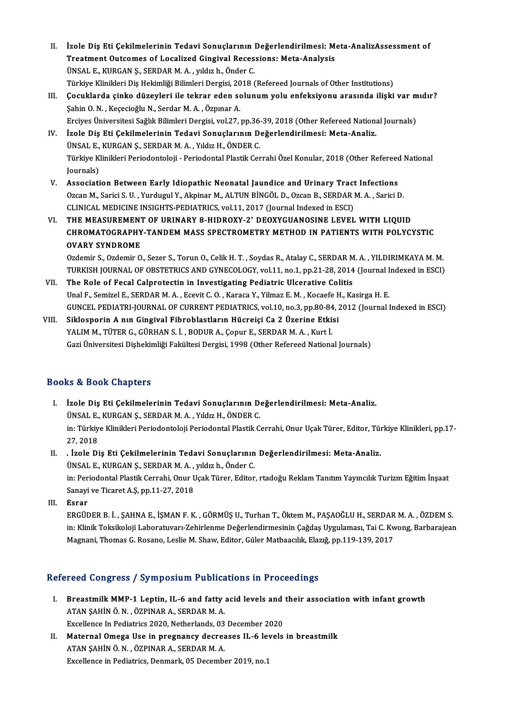- II. İzole Diş Eti Çekilmelerinin Tedavi Sonuçlarının Değerlendirilmesi: Meta-AnalizAssessment of İzole Diş Eti Çekilmelerinin Tedavi Sonuçlarının Değerlendirilmesi: M<br>Treatment Outcomes of Localized Gingival Recessions: Meta-Analysis<br>ÜNSALE, KURGAN S. SERDARM A. yıldırıb. Önder G İzole Diş Eti Çekilmelerinin Tedavi Sonuçlarının |<br>Treatment Outcomes of Localized Gingival Reces<br>ÜNSAL E., KURGAN Ş., SERDAR M. A. , yıldız h., Önder C.<br>Türkiye Klinikleri Diş Hekimliği Bilimleri Dergisi 2018 ( Treatment Outcomes of Localized Gingival Recessions: Meta-Analysis<br>ÜNSAL E., KURGAN Ş., SERDAR M. A. , yıldız h., Önder C.<br>Türkiye Klinikleri Diş Hekimliği Bilimleri Dergisi, 2018 (Refereed Journals of Other Institutions)<br> ÜNSAL E., KURGAN Ş., SERDAR M. A. , yıldız h., Önder C.<br>Türkiye Klinikleri Diş Hekimliği Bilimleri Dergisi, 2018 (Refereed Journals of Other Institutions)<br>III. Cocuklarda çinko düzeyleri ile tekrar eden solunum yolu enfeks
- Türkiye Klinikleri Diş Hekimliği Bilimleri Dergisi, 20<br>**Çocuklarda çinko düzeyleri ile tekrar eden s**o<br>Şahin O.N., Keçecioğlu N., Serdar M.A., Özpınar A. Çocuklarda çinko düzeyleri ile tekrar eden solunum yolu enfeksiyonu arasında ilişki var m<br>Şahin O. N. , Keçecioğlu N., Serdar M. A. , Özpınar A.<br>Erciyes Üniversitesi Sağlık Bilimleri Dergisi, vol.27, pp.36-39, 2018 (Other Erciyes Üniversitesi Sağlık Bilimleri Dergisi, vol.27, pp.36-39, 2018 (Other Refereed National Journals)
- Şahin O. N., Keçecioğlu N., Serdar M. A., Özpınar A.<br>Erciyes Üniversitesi Sağlık Bilimleri Dergisi, vol.27, pp.36-39, 2018 (Other Refereed Nationa<br>IV. İzole Diş Eti Çekilmelerinin Tedavi Sonuçlarının Değerlendirilmesi: Met İzole Diş Eti Çekilmelerinin Tedavi Sonuçlarının Değerlendirilmesi: Meta-Analiz.<br>ÜNSAL E., KURGAN Ş., SERDAR M. A. , Yıldız H., ÖNDER C.<br>Türkiye Klinikleri Periodontoloji - Periodontal Plastik Cerrahi Özel Konular, 2018 (O ÜNSAL E.,<br>Türkiye K.<br>Journals)<br>Associati Türkiye Klinikleri Periodontoloji - Periodontal Plastik Cerrahi Özel Konular, 2018 (Other Refereed<br>Journals)<br>V. Association Between Early Idiopathic Neonatal Jaundice and Urinary Tract Infections<br>Ozean M. Seriei S. H. Vurd
- Journals)<br>V. Association Between Early Idiopathic Neonatal Jaundice and Urinary Tract Infections<br>Ozcan M., Sarici S. U. , Yurdugul Y., Akpinar M., ALTUN BİNGÖL D., Ozcan B., SERDAR M. A. , Sarici D. CLINICAL MEDICINE INSIGHTS-PEDIATRICS, vol.11, 2017 (Journal Indexed in ESCI)
- VI. THE MEASUREMENT OF URINARY 8-HIDROXY-2' DEOXYGUANOSINE LEVEL WITH LIQUID CLINICAL MEDICINE INSIGHTS-PEDIATRICS, vol.11, 2017 (Journal Indexed in ESCI)<br>THE MEASUREMENT OF URINARY 8-HIDROXY-2' DEOXYGUANOSINE LEVEL WITH LIQUID<br>CHROMATOGRAPHY-TANDEM MASS SPECTROMETRY METHOD IN PATIENTS WITH POLYCYS THE MEASUREMENT<br>CHROMATOGRAPHY<br>OVARY SYNDROME OVARY SYNDROME<br>Ozdemir S., Ozdemir O., Sezer S., Torun O., Celik H. T. , Soydas R., Atalay C., SERDAR M. A. , YILDIRIMKAYA M. M.

OVARY SYNDROME<br>Ozdemir S., Ozdemir O., Sezer S., Torun O., Celik H. T. , Soydas R., Atalay C., SERDAR M. A. , YILDIRIMKAYA M.<br>TURKISH JOURNAL OF OBSTETRICS AND GYNECOLOGY, vol.11, no.1, pp.21-28, 2014 (Journal Indexed in E

- VII. The Role of Fecal Calprotectin in Investigating Pediatric Ulcerative Colitis<br>Unal F., Semizel E., SERDAR M. A., Ecevit C. O., Karaca Y., Yilmaz E. M., Kocaefe H., Kasirga H. E. TURKISH JOURNAL OF OBSTETRICS AND GYNECOLOGY, vol.11, no.1, pp.21-28, 2014 (Journal I<br>The Role of Fecal Calprotectin in Investigating Pediatric Ulcerative Colitis<br>Unal F., Semizel E., SERDAR M. A. , Ecevit C. O. , Karaca Y GUNCEL PEDIATRI-JOURNAL OF CURRENT PEDIATRICS, vol.10, no.3, pp.80-84, 2012 (Journal Indexed in ESCI) Unal F., Semizel E., SERDAR M. A., Ecevit C. O., Karaca Y., Yilmaz E. M., Kocaefe H<br>GUNCEL PEDIATRI-JOURNAL OF CURRENT PEDIATRICS, vol.10, no.3, pp.80-84, 2<br>VIII. Siklosporin A nın Gingival Fibroblastların Hücreiçi Ca 2 Üz
- GUNCEL PEDIATRI-JOURNAL OF CURRENT PEDIATRICS, vol.10, no.3, pp.80-84<br>Siklosporin A nın Gingival Fibroblastların Hücreiçi Ca 2 Üzerine Etki:<br>YALIM M., TÜTER G., GÜRHAN S. İ. , BODUR A., Çopur E., SERDAR M. A. , Kurt İ.<br>Car YALIM M., TÜTER G., GÜRHAN S. İ. , BODUR A., Çopur E., SERDAR M. A. , Kurt İ.<br>Gazi Üniversitesi Dişhekimliği Fakültesi Dergisi, 1998 (Other Refereed National Journals)

## Books&Book Chapters

- OOks & Book Chapters<br>I. İzole Diş Eti Çekilmelerinin Tedavi Sonuçlarının Değerlendirilmesi: Meta-Analiz.<br>JİNSALE KURCAN S. SERDAR M.A. Yıldız H. ÖNDER C. I.<br>İzole Diş Eti Çekilmelerinin Tedavi Sonuçlarının D<br>ÜNSAL E., KURGAN Ş., SERDAR M. A. , Yıldız H., ÖNDER C.<br>in: Türkiye Klinikleri Beriedenteleji Beriedentel Plestik G in: Türkiye Klinikleri Periodontoloji Periodontal Plastik Cerrahi, Onur Uçak Türer, Editor, Türkiye Klinikleri, pp.17-<br>27, 2018 ÜNSAL E., KURGAN Ş., SERDAR M. A., Yıldız H., ÖNDER C. I . Türkiye Klinikleri Periodontoloji Periodontal Plastik Cerrahi, Onur Uçak Türer, Editor, Tür<br>27, 2018<br>II. (Rich Diş Eti Çekilmelerinin Tedavi Sonuçlarının Değerlendirilmesi: Meta-Analiz.<br>1998 - Türk Analiz.
- 27, 2018<br>. İzole Diş Eti Çekilmelerinin Tedavi Sonuçlarının<br>ÜNSAL E., KURGAN Ş., SERDAR M. A. , yıldız h., Önder C.<br>in: Beriedentel Plastik Cerrebi Onur Heek Türer, Editer in: Periodontal Plastik Cerrahi, Onur Uçak Türer, Editor, rtadoğu Reklam Tanıtım Yayıncılık Turizm Eğitim İnşaat<br>Sanayi ve Ticaret A.Ş, pp.11-27, 2018 ÜNSAL E., KURGAN Ş., SERDAR M. A., yıldız h., Önder C.

III. Esrar

Sanayi ve Ticaret A.Ş, pp.11-27, 2018<br><mark>Esrar</mark><br>ERGÜDER B. İ. , ŞAHNA E., İŞMAN F. K. , GÖRMÜŞ U., Turhan T., Öktem M., PAŞAOĞLU H., SERDAR M. A. , ÖZDEM S.<br>in: Klinik Teksikeleji I aberaturen Zebirlenme Değerlendirmesinin G Esrar<br>ERGÜDER B. İ. , ŞAHNA E., İŞMAN F. K. , GÖRMÜŞ U., Turhan T., Öktem M., PAŞAOĞLU H., SERDAR M. A. , ÖZDEM S.<br>İn: Klinik Toksikoloji Laboratuvarı-Zehirlenme Değerlendirmesinin Çağdaş Uygulaması, Tai C. Kwong, Barbaraj ERGÜDER B. İ. , ŞAHNA E., İŞMAN F. K. , GÖRMÜŞ U., Turhan T., Öktem M., PAŞAOĞLU H., SERDAR<br>in: Klinik Toksikoloji Laboratuvarı-Zehirlenme Değerlendirmesinin Çağdaş Uygulaması, Tai C. Kw<br>Magnani, Thomas G. Rosano, Leslie M Magnani, Thomas G. Rosano, Leslie M. Shaw, Editor, Güler Matbaacılık, Elazığ, pp.119-139, 2017<br>Refereed Congress / Symposium Publications in Proceedings

- efereed Congress / Symposium Publications in Proceedings<br>I. Breastmilk MMP-1 Leptin, IL-6 and fatty acid levels and their association with infant growth<br>ATAN SAHIN Ö N. ÖZPINAR A. SERDAR M.A. ATAN ŞAHİN Ö.N. , ÖZPINAR A., SERDARM.<br>ATAN ŞAHİN Ö.N. , ÖZPINAR A., SERDARM.A.<br>Fusallansa in Bediatrics 2020, Natharlanda 02. Breastmilk MMP-1 Leptin, IL-6 and fatty acid levels and<br>ATAN ŞAHİN Ö.N., ÖZPINAR A., SERDAR M.A.<br>Excellence In Pediatrics 2020, Netherlands, 03 December 2020<br>Matannal Omaga Hae in prognangy degreeses H. 6 levels
- ATAN ŞAHİN Ö. N. , ÖZPINAR A., SERDAR M. A.<br>Excellence In Pediatrics 2020, Netherlands, 03 December 2020<br>II. Maternal Omega Use in pregnancy decreases IL-6 levels in breastmilk<br>ATAN SAHİN Ö. N. ÖZPINAR A. SERRAR M. A. Excellence In Pediatrics 2020, Netherlands, 03 December 2020<br>Maternal Omega Use in pregnancy decreases IL-6 levels<br>ATAN ŞAHİN Ö.N., ÖZPINAR A., SERDAR M.A.<br>Excellence in Pediatrics, Denmark, 05 December 2019, no.1 Maternal Omega Use in pregnancy decreases IL-6 lev<br>ATAN ŞAHİN Ö. N. , ÖZPINAR A., SERDAR M. A.<br>Excellence in Pediatrics, Denmark, 05 December 2019, no.1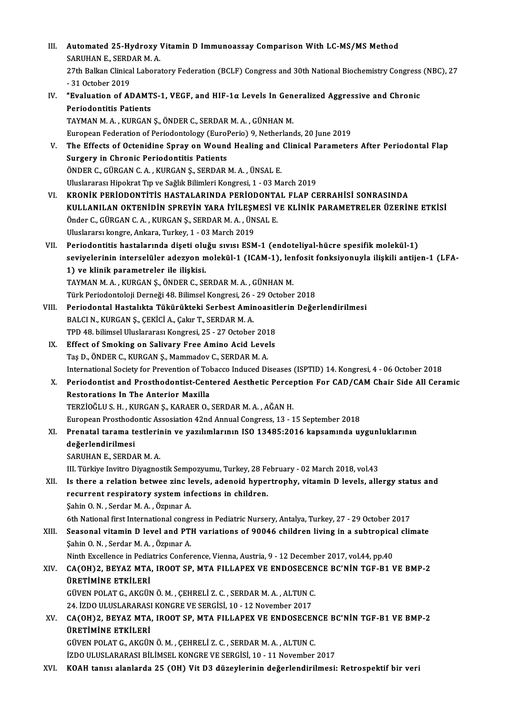III. Automated 25-Hydroxy Vitamin D Immunoassay Comparison With LC-MS/MS Method<br>SARIWANE, SERDAR M.A **Automated 25-Hydroxy<br>SARUHAN E., SERDAR M. A.<br>27th Ballian Clinical Labora** 27th Balkan Clinical Laboratory Federation (BCLF) Congress and 30th National Biochemistry Congress (NBC), 27<br>- 31 October 2019 SARUHAN E., SERDAR M. A. 27th Balkan Clinical Laboratory Federation (BCLF) Congress and 30th National Biochemistry Congress<br>- 31 October 2019<br>IV. "Evaluation of ADAMTS-1, VEGF, and HIF-1α Levels In Generalized Aggressive and Chronic<br>- Periodentit - 31 October 2019<br>"Evaluation of ADAMT<br>Periodontitis Patients<br>TAYMAN M.A., KUPCAN Periodontitis Patients<br>TAYMAN M. A. , KURGAN Ş., ÖNDER C., SERDAR M. A. , GÜNHAN M. European Federation of Periodontology (EuroPerio) 9, Netherlands, 20 June 2019 TAYMAN M. A. , KURGAN Ş., ÖNDER C., SERDAR M. A. , GÜNHAN M.<br>European Federation of Periodontology (EuroPerio) 9, Netherlands, 20 June 2019<br>V. The Effects of Octenidine Spray on Wound Healing and Clinical Parameters After European Federation of Periodontology (Eurol<br>The Effects of Octenidine Spray on Wound<br>Surgery in Chronic Periodontitis Patients<br>ÖNDER C. CÜRCAN C.A., KURCAN S. SERDAR I The Effects of Octenidine Spray on Wound Healing and<br>Surgery in Chronic Periodontitis Patients<br>ÖNDER C., GÜRGAN C. A. , KURGAN Ş., SERDAR M. A. , ÜNSAL E.<br>Uluslarares: Hinelmat Tra ve Sağlık Bilimleri Kongresi 1 , 03 M. Surgery in Chronic Periodontitis Patients<br>ÖNDER C., GÜRGAN C. A. , KURGAN Ş., SERDAR M. A. , ÜNSAL E.<br>Uluslararası Hipokrat Tıp ve Sağlık Bilimleri Kongresi, 1 - 03 March 2019 VI. KRONİK PERİODONTİTİS HASTALARINDA PERİODONTAL FLAP CERRAHİSİ SONRASINDA Uluslararası Hipokrat Tıp ve Sağlık Bilimleri Kongresi, 1 - 03 March 2019<br>KRONİK PERİODONTİTİS HASTALARINDA PERİODONTAL FLAP CERRAHİSİ SONRASINDA<br>KULLANILAN OKTENİDİN SPREYİN YARA İYİLEŞMESİ VE KLİNİK PARAMETRELER ÜZERİNE KRONİK PERİODONTİTİS HASTALARINDA PERİODONTA<br>KULLANILAN OKTENİDİN SPREYİN YARA İYİLEŞMESİ V<br>Önder C., GÜRGAN C.A. , KURGAN Ş., SERDAR M. A. , ÜNSAL E.<br>Uluslarara kansta, Arkara Turkay 1, .03 Marsh 2010 KULLANILAN OKTENİDİN SPREYİN YARA İYİLEŞM<br>Önder C., GÜRGAN C. A. , KURGAN Ş., SERDAR M. A. , ÜN<br>Uluslararsı kongre, Ankara, Turkey, 1 - 03 March 2019<br>Periodentitis bestalarında diseti eluğu suya; ESM Önder C., GÜRGAN C. A. , KURGAN Ş., SERDAR M. A. , ÜNSAL E.<br>Uluslararsı kongre, Ankara, Turkey, 1 - 03 March 2019<br>VII. Periodontitis hastalarında dişeti oluğu sıvısı ESM-1 (endoteliyal-hücre spesifik molekül-1) Uluslararsı kongre, Ankara, Turkey, 1 - 03 March 2019<br>Periodontitis hastalarında dişeti oluğu sıvısı ESM-1 (endoteliyal-hücre spesifik molekül-1)<br>seviyelerinin interselüler adezyon molekül-1 (ICAM-1), lenfosit fonksiyonuyl Periodontitis hastalarında dişeti olu<br>seviyelerinin interselüler adezyon m<br>1) ve klinik parametreler ile ilişkisi.<br>TAYMAN M A - KURCAN S. ÖNDER C. SE seviyelerinin interselüler adezyon molekül-1 (ICAM-1), len<br>1) ve klinik parametreler ile ilişkisi.<br>TAYMAN M.A., KURGAN Ş., ÖNDER C., SERDAR M.A., GÜNHAN M.<br>Türk Periodenteleji Derneği 49. Bilimesi Kongresi 26., 29 Osteber 1) ve klinik parametreler ile ilişkisi.<br>TAYMAN M. A. , KURGAN Ş., ÖNDER C., SERDAR M. A. , GÜNHAN M.<br>Türk Periodontoloji Derneği 48. Bilimsel Kongresi, 26 - 29 October 2018 TAYMAN M. A. , KURGAN Ş., ÖNDER C., SERDAR M. A. , GÜNHAN M.<br>Türk Periodontoloji Derneği 48. Bilimsel Kongresi, 26 - 29 October 2018<br>VIII. Periodontal Hastalıkta Tükürükteki Serbest Aminoasitlerin Değerlendirilmesi<br>PALCIN, BALCI N., KURGAN Ş., ÇEKİCİ A., Çakır T., SERDAR M. A. Periodontal Hastalıkta Tükürükteki Serbest Aminoasitl<br>BALCI N., KURGAN Ş., ÇEKİCİ A., Çakır T., SERDAR M. A.<br>TPD 48. bilimsel Uluslararası Kongresi, 25 - 27 October 2018<br>Effect of Smoking on Saliyary Eree Amine Asid Levels TPD 48. bilimsel Uluslararası Kongresi, 25 - 27 October 2018<br>IX. Effect of Smoking on Salivary Free Amino Acid Levels TaşD.,ÖNDERC.,KURGANŞ.,MammadovC.,SERDARM.A. International Society for Prevention of Tobacco Induced Diseases (ISPTID) 14. Kongresi, 4 - 06 October 2018 X. Periodontist and Prosthodontist-Centered Aesthetic Perception For CAD/CAM Chair Side All Ceramic Restorations In The Anterior Maxilla TERZİOĞLUS.H. ,KURGANŞ.,KARAERO.,SERDARM.A. ,AĞANH. EuropeanProsthodonticAssosiation42ndAnnualCongress,13 -15 September 2018 TERZİOĞLU S. H. , KURGAN Ş., KARAER O., SERDAR M. A. , AĞAN H.<br>European Prosthodontic Assosiation 42nd Annual Congress, 13 - 15 September 2018<br>XI. Prenatal tarama testlerinin ve yazılımlarının ISO 13485:2016 kapsamında uyg European Prosthode<br>Prenatal tarama te<br>değerlendirilmesi<br>SARIHAN E. SERDA Prenatal tarama testlerii<br>değerlendirilmesi<br>SARUHAN E., SERDAR M. A.<br>III. Türkiye İnvitre Divernes de<mark>ğerlendirilmesi</mark><br>SARUHAN E., SERDAR M. A.<br>III. Türkiye Invitro Diyagnostik Sempozyumu, Turkey, 28 February - 02 March 2018, vol.43<br>Is there a rektion betwee sing levels, adeneid bynertrophy, witemin D. levels, elk SARUHAN E., SERDAR M. A.<br>III. Türkiye Invitro Diyagnostik Sempozyumu, Turkey, 28 February - 02 March 2018, vol.43<br>XII. Is there a relation betwee zinc levels, adenoid hypertrophy, vitamin D levels, allergy status and<br>recur III. Türkiye Invitro Diyagnostik Sempozyumu, Turkey, 28 Fe<br>Is there a relation betwee zinc levels, adenoid hyper<br>recurrent respiratory system infections in children.<br>Sabin O.N., Sardar M.A., Ögnunar A Şahin O.N., Serdar M.A., Özpınar A. 6th National first International congress in Pediatric Nursery, Antalya, Turkey, 27 - 29 October 2017 XIII. Seasonal vitamin D level and PTH variations of 90046 children living in a subtropical climate Şahin O.N., Serdar M.A., Özpınar A. Seasonal vitamin D level and PTH variations of 90046 children living in a subtropica<br>Şahin O. N. , Serdar M. A. , Özpınar A.<br>Ninth Excellence in Pediatrics Conference, Vienna, Austria, 9 - 12 December 2017, vol.44, pp.40<br>C Sahin O. N. , Serdar M. A. , Özpınar A.<br>Ninth Excellence in Pediatrics Conference, Vienna, Austria, 9 - 12 December 2017, vol.44, pp.40<br>XIV. CA(OH)2, BEYAZ MTA, IROOT SP, MTA FILLAPEX VE ENDOSECENCE BC'NİN TGF-B1 VE BM Ninth Excellence in Pedia<br>CA(OH)2, BEYAZ MTA<br>ÜRETİMİNE ETKİLERİ<br>CÜVEN POLAT CA*V*CÜN CA(OH)2, BEYAZ MTA, IROOT SP, MTA FILLAPEX VE ENDOSECEN<br>ÜRETIMINE ETKILERI<br>GÜVEN POLAT G., AKGÜN Ö. M. , ÇEHRELİ Z. C. , SERDAR M. A. , ALTUN C.<br>24. İZDO ULUSLARARASI KONCRE VE SERÇİSİ. 10. 12 November 2017 **ÜRETİMİNE ETKİLERİ**<br>GÜVEN POLAT G., AKGÜN Ö. M. , ÇEHRELİ Z. C. , SERDAR M. A. , ALTUN C.<br>24. İZDO ULUSLARARASI KONGRE VE SERGİSİ, 10 - 12 November 2017 GÜVEN POLAT G., AKGÜN Ö. M. , ÇEHRELİ Z. C. , SERDAR M. A. , ALTUN C.<br>24. İZDO ULUSLARARASI KONGRE VE SERGİSİ, 10 - 12 November 2017<br>XV. CA(OH)2, BEYAZ MTA, IROOT SP, MTA FILLAPEX VE ENDOSECENCE BC'NİN TGF-B1 VE BMP-2<br> 24. İZDO ULUSLARARASI<br>CA(OH)2, BEYAZ MTA<br>ÜRETİMİNE ETKİLERİ<br>CÜVEN POLAT CAKÇÜN CA(OH)2, BEYAZ MTA, IROOT SP, MTA FILLAPEX VE ENDOSECEN<br>ÜRETIMINE ETKILERI<br>GÜVEN POLAT G., AKGÜN Ö. M. , ÇEHRELİ Z. C. , SERDAR M. A. , ALTUN C.<br>İZDO III USLARARASI PİLİMSEL KONGRE VE SERÇİSİ 10, 11 November ÜRETİMİNE ETKİLERİ<br>GÜVEN POLAT G., AKGÜN Ö. M. , ÇEHRELİ Z. C. , SERDAR M. A. , ALTUN C.<br>İZDO ULUSLARARASI BİLİMSEL KONGRE VE SERGİSİ, 10 - 11 November 2017 XVI. KOAH tanısı alanlarda 25 (OH) Vit D3 düzeylerinin değerlendirilmesi: Retrospektif bir veri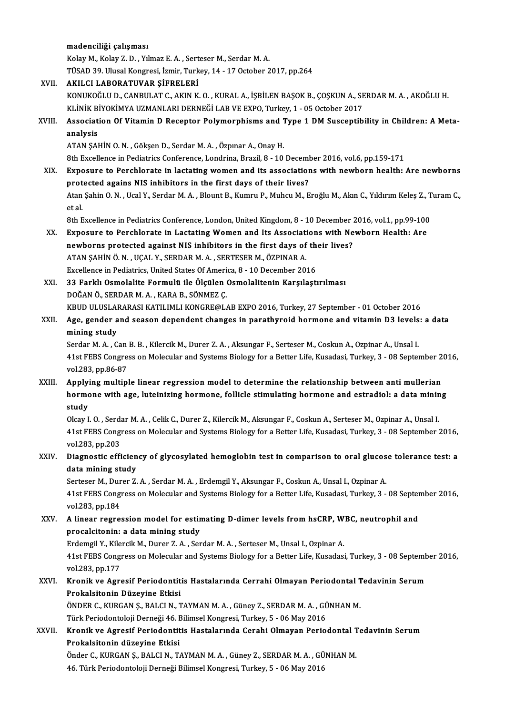|             | madenciliği çalışması                                                                                                                                          |
|-------------|----------------------------------------------------------------------------------------------------------------------------------------------------------------|
|             | Kolay M., Kolay Z. D., Yılmaz E. A., Serteser M., Serdar M. A.                                                                                                 |
|             | TÜSAD 39. Ulusal Kongresi, İzmir, Turkey, 14 - 17 October 2017, pp.264                                                                                         |
| XVII.       | AKILCI LABORATUVAR ŞİFRELERİ                                                                                                                                   |
|             | KONUKOĞLU D., CANBULAT C., AKIN K. O., KURAL A., İŞBİLEN BAŞOK B., ÇOŞKUN A., SERDAR M. A., AKOĞLU H.                                                          |
|             | KLİNİK BİYOKİMYA UZMANLARI DERNEĞİ LAB VE EXPO, Turkey, 1 - 05 October 2017                                                                                    |
| XVIII.      | Association Of Vitamin D Receptor Polymorphisms and Type 1 DM Susceptibility in Children: A Meta-<br>analysis                                                  |
|             | ATAN ŞAHİN O.N., Gökşen D., Serdar M.A., Özpınar A., Onay H.                                                                                                   |
|             | 8th Excellence in Pediatrics Conference, Londrina, Brazil, 8 - 10 December 2016, vol.6, pp.159-171                                                             |
| XIX.        | Exposure to Perchlorate in lactating women and its associations with newborn health: Are newborns                                                              |
|             | protected agains NIS inhibitors in the first days of their lives?                                                                                              |
|             | Atan Şahin O.N., Ucal Y., Serdar M.A., Blount B., Kumru P., Muhcu M., Eroğlu M., Akın C., Yıldırım Keleş Z., Turam C.,<br>et al.                               |
|             | 8th Excellence in Pediatrics Conference, London, United Kingdom, 8 - 10 December 2016, vol.1, pp.99-100                                                        |
| XX.         | Exposure to Perchlorate in Lactating Women and Its Associations with Newborn Health: Are                                                                       |
|             | newborns protected against NIS inhibitors in the first days of their lives?                                                                                    |
|             | ATAN ŞAHİN Ö. N., UÇAL Y., SERDAR M. A., SERTESER M., ÖZPINAR A.                                                                                               |
|             | Excellence in Pediatrics, United States Of America, 8 - 10 December 2016                                                                                       |
| XXI.        | 33 Farklı Osmolalite Formulü ile Ölçülen Osmolalitenin Karşılaştırılması                                                                                       |
|             | DOĞAN Ö., SERDAR M. A., KARA B., SÖNMEZ Ç.                                                                                                                     |
|             | KBUD ULUSLARARASI KATILIMLI KONGRE@LAB EXPO 2016, Turkey, 27 September - 01 October 2016                                                                       |
| XXII.       | Age, gender and season dependent changes in parathyroid hormone and vitamin D3 levels: a data<br>mining study                                                  |
|             | Serdar M. A., Can B. B., Kilercik M., Durer Z. A., Aksungar F., Serteser M., Coskun A., Ozpinar A., Unsal I.                                                   |
|             | 41st FEBS Congress on Molecular and Systems Biology for a Better Life, Kusadasi, Turkey, 3 - 08 September 2016,                                                |
| XXIII.      | vol 283, pp 86-87<br>Applying multiple linear regression model to determine the relationship between anti mullerian                                            |
|             | hormone with age, luteinizing hormone, follicle stimulating hormone and estradiol: a data mining                                                               |
|             | study                                                                                                                                                          |
|             | Olcay I. O., Serdar M. A., Celik C., Durer Z., Kilercik M., Aksungar F., Coskun A., Serteser M., Ozpinar A., Unsal I.                                          |
|             | 41st FEBS Congress on Molecular and Systems Biology for a Better Life, Kusadasi, Turkey, 3 - 08 September 2016,                                                |
|             | vol 283, pp 203<br>Diagnostic efficiency of glycosylated hemoglobin test in comparison to oral glucose tolerance test: a                                       |
| XXIV.       | data mining study                                                                                                                                              |
|             | Serteser M., Durer Z. A., Serdar M. A., Erdemgil Y., Aksungar F., Coskun A., Unsal I., Ozpinar A.                                                              |
|             | 41st FEBS Congress on Molecular and Systems Biology for a Better Life, Kusadasi, Turkey, 3 - 08 September 2016,                                                |
|             | vol 283, pp 184                                                                                                                                                |
| XXV.        | A linear regression model for estimating D-dimer levels from hsCRP, WBC, neutrophil and                                                                        |
|             | procalcitonin: a data mining study                                                                                                                             |
|             | Erdemgil Y., Kilercik M., Durer Z. A., Serdar M. A., Serteser M., Unsal I., Ozpinar A.                                                                         |
|             | 41st FEBS Congress on Molecular and Systems Biology for a Better Life, Kusadasi, Turkey, 3 - 08 September 2016,<br>vol 283, pp 177                             |
| <b>XXVI</b> | Kronik ve Agresif Periodontitis Hastalarında Cerrahi Olmayan Periodontal Tedavinin Serum                                                                       |
|             | Prokalsitonin Düzeyine Etkisi                                                                                                                                  |
|             | ÖNDER C., KURGAN Ş., BALCI N., TAYMAN M. A. , Güney Z., SERDAR M. A. , GÜNHAN M.                                                                               |
|             | Türk Periodontoloji Derneği 46. Bilimsel Kongresi, Turkey, 5 - 06 May 2016                                                                                     |
| XXVII.      | Kronik ve Agresif Periodontitis Hastalarında Cerahi Olmayan Periodontal Tedavinin Serum                                                                        |
|             | Prokalsitonin düzeyine Etkisi                                                                                                                                  |
|             | Önder C., KURGAN Ş., BALCI N., TAYMAN M. A. , Güney Z., SERDAR M. A. , GÜNHAN M.<br>46. Türk Periodontoloji Derneği Bilimsel Kongresi, Turkey, 5 - 06 May 2016 |
|             |                                                                                                                                                                |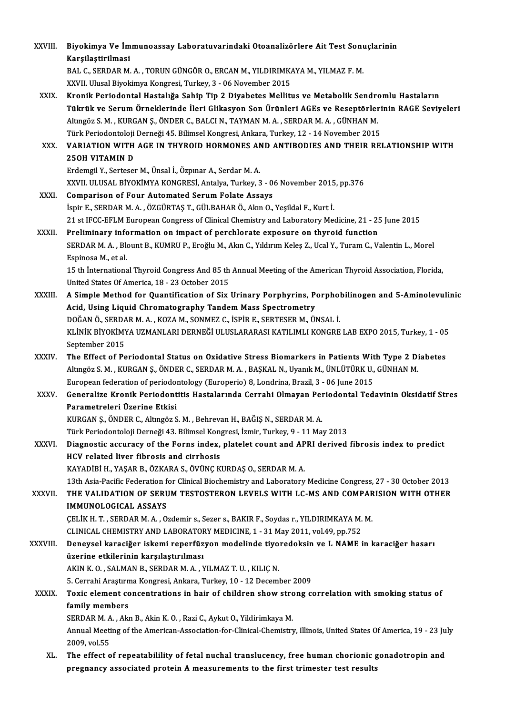| XXVIII.      | Biyokimya Ve İmmunoassay Laboratuvarindaki Otoanalizörlere Ait Test Sonuçlarinin                                                              |
|--------------|-----------------------------------------------------------------------------------------------------------------------------------------------|
|              | Karşilaştirilmasi                                                                                                                             |
|              | BAL C., SERDAR M.A., TORUN GÜNGÖR O., ERCAN M., YILDIRIMKAYA M., YILMAZ F. M.                                                                 |
|              | XXVII. Ulusal Biyokimya Kongresi, Turkey, 3 - 06 November 2015                                                                                |
| XXIX.        | Kronik Periodontal Hastalığa Sahip Tip 2 Diyabetes Mellitus ve Metabolik Sendromlu Hastaların                                                 |
|              | Tükrük ve Serum Örneklerinde İleri Glikasyon Son Ürünleri AGEs ve Reseptörlerinin RAGE Seviyeleri                                             |
|              | Altıngöz S. M., KURGAN Ş., ÖNDER C., BALCI N., TAYMAN M. A., SERDAR M. A., GÜNHAN M.                                                          |
|              | Türk Periodontoloji Derneği 45. Bilimsel Kongresi, Ankara, Turkey, 12 - 14 November 2015                                                      |
| XXX.         | VARIATION WITH AGE IN THYROID HORMONES AND ANTIBODIES AND THEIR RELATIONSHIP WITH                                                             |
|              | <b>250H VITAMIN D</b>                                                                                                                         |
|              | Erdemgil Y., Serteser M., Ünsal İ., Özpınar A., Serdar M. A.                                                                                  |
|              | XXVII. ULUSAL BİYOKİMYA KONGRESİ, Antalya, Turkey, 3 - 06 November 2015, pp.376                                                               |
| XXXI.        | <b>Comparison of Four Automated Serum Folate Assays</b>                                                                                       |
|              | İspir E., SERDAR M. A., ÖZGÜRTAŞ T., GÜLBAHAR Ö., Akın O., Yeşildal F., Kurt İ.                                                               |
|              | 21 st IFCC-EFLM European Congress of Clinical Chemistry and Laboratory Medicine, 21 - 25 June 2015                                            |
| XXXII.       | Preliminary information on impact of perchlorate exposure on thyroid function                                                                 |
|              | SERDAR M. A., Blount B., KUMRU P., Eroğlu M., Akın C., Yıldırım Keleş Z., Ucal Y., Turam C., Valentin L., Morel                               |
|              | Espinosa M, et al.                                                                                                                            |
|              | 15 th International Thyroid Congress And 85 th Annual Meeting of the American Thyroid Association, Florida,                                   |
|              | United States Of America, 18 - 23 October 2015                                                                                                |
| XXXIII.      | A Simple Method for Quantification of Six Urinary Porphyrins, Porphobilinogen and 5-Aminolevulinic                                            |
|              | Acid, Using Liquid Chromatography Tandem Mass Spectrometry                                                                                    |
|              | DOĞAN Ö., SERDAR M. A., KOZA M., SONMEZ C., İSPİR E., SERTESER M., ÜNSAL İ.                                                                   |
|              | KLİNİK BİYOKİMYA UZMANLARI DERNEĞİ ULUSLARARASI KATILIMLI KONGRE LAB EXPO 2015, Turkey, 1 - 05                                                |
|              | September 2015                                                                                                                                |
| <b>XXXIV</b> | The Effect of Periodontal Status on Oxidative Stress Biomarkers in Patients With Type 2 Diabetes                                              |
|              | Altıngöz S. M., KURGAN Ş., ÖNDER C., SERDAR M. A., BAŞKAL N., Uyanık M., ÜNLÜTÜRK U., GÜNHAN M.                                               |
|              | European federation of periodontology (Europerio) 8, Londrina, Brazil, 3 - 06 June 2015                                                       |
| <b>XXXV</b>  | Generalize Kronik Periodontitis Hastalarında Cerrahi Olmayan Periodontal Tedavinin Oksidatif Stres                                            |
|              | Parametreleri Üzerine Etkisi                                                                                                                  |
|              | KURGAN Ş., ÖNDER C., Altıngöz S. M., Behrevan H., BAĞIŞ N., SERDAR M. A.                                                                      |
| XXXVI.       | Türk Periodontoloji Derneği 43. Bilimsel Kongresi, İzmir, Turkey, 9 - 11 May 2013                                                             |
|              | Diagnostic accuracy of the Forns index, platelet count and APRI derived fibrosis index to predict<br>HCV related liver fibrosis and cirrhosis |
|              | KAYADİBİ H., YAŞAR B., ÖZKARA S., ÖVÜNÇ KURDAŞ O., SERDAR M. A.                                                                               |
|              | 13th Asia-Pacific Federation for Clinical Biochemistry and Laboratory Medicine Congress, 27 - 30 October 2013                                 |
| XXXVII.      | THE VALIDATION OF SERUM TESTOSTERON LEVELS WITH LC-MS AND COMPARISION WITH OTHER                                                              |
|              | <b>IMMUNOLOGICAL ASSAYS</b>                                                                                                                   |
|              | ÇELİK H. T., SERDAR M. A., Ozdemir s., Sezer s., BAKIR F., Soydas r., YILDIRIMKAYA M. M.                                                      |
|              | CLINICAL CHEMISTRY AND LABORATORY MEDICINE, 1 - 31 May 2011, vol.49, pp.752                                                                   |
| XXXVIII.     | Deneysel karaciğer iskemi reperfüzyon modelinde tiyoredoksin ve L NAME in karaciğer hasarı                                                    |
|              | üzerine etkilerinin karşılaştırılması                                                                                                         |
|              | AKIN K.O., SALMAN B., SERDAR M.A., YILMAZ T.U., KILIÇ N.                                                                                      |
|              | 5. Cerrahi Araştırma Kongresi, Ankara, Turkey, 10 - 12 December 2009                                                                          |
| <b>XXXIX</b> | Toxic element concentrations in hair of children show strong correlation with smoking status of                                               |
|              | family members                                                                                                                                |
|              | SERDAR M. A., Akn B., Akin K. O., Razi C., Aykut O., Yildirimkaya M.                                                                          |
|              | Annual Meeting of the American-Association-for-Clinical-Chemistry, Illinois, United States Of America, 19 - 23 July                           |
|              | 2009, vol.55                                                                                                                                  |
| XL.          | The effect of repeatabilility of fetal nuchal translucency, free human chorionic gonadotropin and                                             |
|              | pregnancy associated protein A measurements to the first trimester test results                                                               |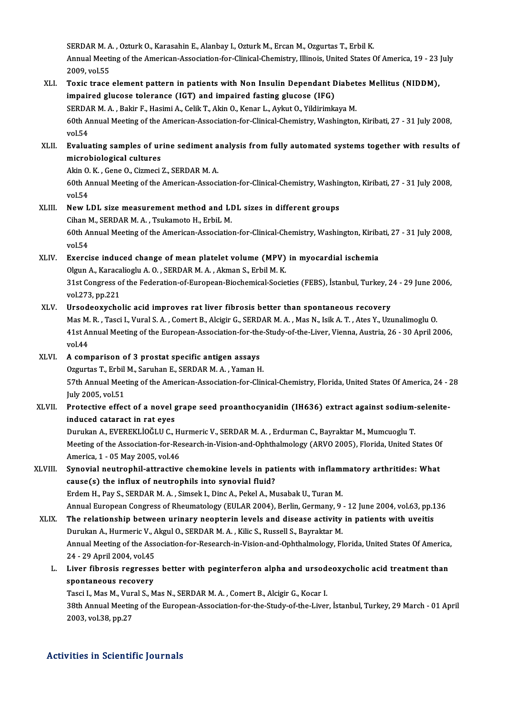SERDAR M. A. , Ozturk O., Karasahin E., Alanbay I., Ozturk M., Ercan M., Ozgurtas T., Erbil K.<br>Annual Meeting of the American Association for Clinical Chemistry, Illinois, United States ( Annual Meeting of the American-Association-for-Clinical-Chemistry, Illinois, United States Of America, 19 - 23 July<br>2009. vol.55 SERDAR M. A<br>Annual Meeti<br>2009, vol.55<br>Tovis trace Annual Meeting of the American-Association-for-Clinical-Chemistry, Illinois, United States Of America, 19 - 23<br>2009, vol.55<br>XLI. Toxic trace element pattern in patients with Non Insulin Dependant Diabetes Mellitus (NIDDM),

## 2009, vol.55<br>Toxic trace element pattern in patients with Non Insulin Dependant E<br>impaired glucose tolerance (IGT) and impaired fasting glucose (IFG)<br>SERDAR M.A., Pakir E. Hasimi A. Colik T. Akin O. Kanar L. Aylart O. Vild Toxic trace element pattern in patients with Non Insulin Dependant Diabet<br>impaired glucose tolerance (IGT) and impaired fasting glucose (IFG)<br>SERDAR M. A., Bakir F., Hasimi A., Celik T., Akin O., Kenar L., Aykut O., Yildir impaired glucose tolerance (IGT) and impaired fasting glucose (IFG)<br>SERDAR M. A. , Bakir F., Hasimi A., Celik T., Akin O., Kenar L., Aykut O., Yildirimkaya M.<br>60th Annual Meeting of the American-Association-for-Clinical-Ch SERDA<br>60th A<br>vol.54<br>Evolus 60th Annual Meeting of the American-Association-for-Clinical-Chemistry, Washington, Kiribati, 27 - 31 July 2008,<br>vol.54<br>XLII. Evaluating samples of urine sediment analysis from fully automated systems together with results

# vol.54<br><mark>Evaluating samples of ur</mark><br>microbiological cultures<br>Alin O.K., Cana O. Cizmesi Evaluating samples of urine sediment a<br>microbiological cultures<br>Akin O. K. , Gene O., Cizmeci Z., SERDAR M. A.<br>60th Annual Meeting of the American Associ

Akin O.K., Gene O., Cizmeci Z., SERDAR M.A.

microbiological cultures<br>Akin O. K. , Gene O., Cizmeci Z., SERDAR M. A.<br>60th Annual Meeting of the American-Association-for-Clinical-Chemistry, Washington, Kiribati, 27 - 31 July 2008,<br>vol.54 60th Annual Meeting of the American-Association-for-Clinical-Chemistry, Washir<br>vol.54<br>XLIII. New LDL size measurement method and LDL sizes in different groups<br>Ciban M. SERDAR M.A. Taukamata H. ErbiL M.

## vol.54<br>New LDL size measurement method and LI<br>Cihan M., SERDAR M. A. , Tsukamoto H., ErbiL M.<br>60th Annual Mesting of the American Associatio 60th Annual Meeting of the American-Association-for-Clinical-Chemistry, Washington, Kiribati, 27 - 31 July 2008, vol.54 Cihan M., SERDAR M. A., Tsukamoto H., ErbiL M.

## XLIV. Exercise induced change ofmean platelet volume (MPV) inmyocardial ischemia vol.54<br>Exercise induced change of mean platelet volume (MPV)<br>Olgun A., Karacalioglu A. O. , SERDAR M. A. , Akman S., Erbil M. K.<br>21st Congress of the Esdenstion of European Biosbomisel Socio Exercise induced change of mean platelet volume (MPV) in myocardial ischemia<br>Olgun A., Karacalioglu A. O. , SERDAR M. A. , Akman S., Erbil M. K.<br>31st Congress of the Federation-of-European-Biochemical-Societies (FEBS), İst

Olgun A., Karaca<br>31st Congress o<br>vol.273, pp.221<br>Ursodeoxyche 31st Congress of the Federation-of-European-Biochemical-Societies (FEBS), İstanbul, Turkey, 2<br>vol.273, pp.221<br>XLV. Ursodeoxycholic acid improves rat liver fibrosis better than spontaneous recovery<br>Mas M. B. Tassi L. Vural

vol.273, pp.221<br>Ursodeoxycholic acid improves rat liver fibrosis better than spontaneous recovery<br>Mas M. R. , Tasci I., Vural S. A. , Comert B., Alcigir G., SERDAR M. A. , Mas N., Isik A. T. , Ates Y., Uzunalimoglu O.<br>41st Ursodeoxycholic acid improves rat liver fibrosis better than spontaneous recovery<br>Mas M. R. , Tasci I., Vural S. A. , Comert B., Alcigir G., SERDAR M. A. , Mas N., Isik A. T. , Ates Y., Uzunalimoglu O.<br>41st Annual Meeting Mas M.<br>41st Ar<br>vol.44 41st Annual Meeting of the European-Association-for-the-Study-of-the-Liver, Vienna, Austria, 26 - 30 April 2006,<br>2006, vol.44<br>XLVI. A comparison of 3 prostat specific antigen assays vol.44<br>A comparison of 3 prostat specific antigen assays<br>Ozgurtas T., Erbil M., Saruhan E., SERDAR M. A. , Yaman H.<br>57th Annual Meeting of the American Association for Clin

57th Annual Meeting of the American-Association-for-Clinical-Chemistry, Florida, United States Of America, 24 - 28<br>July 2005, vol.51 Ozgurtas T., Erbil<br>57th Annual Meet<br>July 2005, vol.51<br>Protective offee 57th Annual Meeting of the American-Association-for-Clinical-Chemistry, Florida, United States Of America, 24<br>July 2005, vol.51<br>XLVII. Protective effect of a novel grape seed proanthocyanidin (IH636) extract against sodium

# July 2005, vol.51<br>Protective effect of a novel g<br>induced cataract in rat eyes<br>Dunylon A, EVEREVI JOČI U.C. I Protective effect of a novel grape seed proanthocyanidin (IH636) extract against sodium-<br>induced cataract in rat eyes<br>Durukan A., EVEREKLİOĞLU C., Hurmeric V., SERDAR M. A. , Erdurman C., Bayraktar M., Mumcuoglu T.<br>Mesting

induced cataract in rat eyes<br>Durukan A., EVEREKLİOĞLU C., Hurmeric V., SERDAR M. A. , Erdurman C., Bayraktar M., Mumcuoglu T.<br>Meeting of the Association-for-Research-in-Vision-and-Ophthalmology (ARVO 2005), Florida, United Durukan A., EVEREKLİOĞLU C., H<br>Meeting of the Association-for-Re<br>America, 1 - 05 May 2005, vol.46<br>Synovial noutronbil ettrective Meeting of the Association-for-Research-in-Vision-and-Ophthalmology (ARVO 2005), Florida, United States Of<br>America, 1 - 05 May 2005, vol.46<br>XLVIII. Synovial neutrophil-attractive chemokine levels in patients with inflammat

# America, 1 - 05 May 2005, vol.46<br>Synovial neutrophil-attractive chemokine levels in pat<br>cause(s) the influx of neutrophils into synovial fluid?<br>Frdem H. Bay S. SEPDAR M.A. Simeek L. Dine A. Pekel A. Mi Synovial neutrophil-attractive chemokine levels in patients with inflamicause(s) the influx of neutrophils into synovial fluid?<br>Erdem H., Pay S., SERDAR M. A. , Simsek I., Dinc A., Pekel A., Musabak U., Turan M.<br>Annual Eur

cause(s) the influx of neutrophils into synovial fluid?<br>Erdem H., Pay S., SERDAR M. A. , Simsek I., Dinc A., Pekel A., Musabak U., Turan M.<br>Annual European Congress of Rheumatology (EULAR 2004), Berlin, Germany, 9 - 12 Jun Erdem H., Pay S., SERDAR M. A., Simsek I., Dinc A., Pekel A., Musabak U., Turan M.<br>Annual European Congress of Rheumatology (EULAR 2004), Berlin, Germany, 9 - 12 June 2004, vol.63, pp.1<br>XLIX. The relationship between urina Annual European Congress of Rheumatology (EULAR 2004), Berlin, Germany, 9<br>The relationship between urinary neopterin levels and disease activity<br>Durukan A., Hurmeric V., Akgul O., SERDAR M. A. , Kilic S., Russell S., Bayra The relationship between urinary neopterin levels and disease activity in patients with uveitis<br>Durukan A., Hurmeric V., Akgul O., SERDAR M. A. , Kilic S., Russell S., Bayraktar M.<br>Annual Meeting of the Association-for-Res Durukan A., Hurmeric V., A<br>Annual Meeting of the Ass<br>24 - 29 April 2004, vol.45<br>Liver fibrosis regresses

## Annual Meeting of the Association-for-Research-in-Vision-and-Ophthalmology, Florida, United States Of America<br>24 - 29 April 2004, vol.45<br>L. Liver fibrosis regresses better with peginterferon alpha and ursodeoxycholic acid 24 - 29 April 2004, vol.45<br>Liver fibrosis regresse<br>spontaneous recovery<br>Tessi L Mee M - Vural S - M Liver fibrosis regresses better with peginterferon alpha and ursod<br>spontaneous recovery<br>Tasci I., Mas M., Vural S., Mas N., SERDAR M. A. , Comert B., Alcigir G., Kocar I.<br>20th Annual Mesting of the European Association for

spontaneous recovery<br>Tasci I., Mas M., Vural S., Mas N., SERDAR M. A. , Comert B., Alcigir G., Kocar I.<br>38th Annual Meeting of the European-Association-for-the-Study-of-the-Liver, İstanbul, Turkey, 29 March - 01 April<br>2003 Tasci I., Mas M., Vural S., Mas N., SERDAR M. A., Comert B., Alcigir G., Kocar I.

## Activities in Scientific Journals